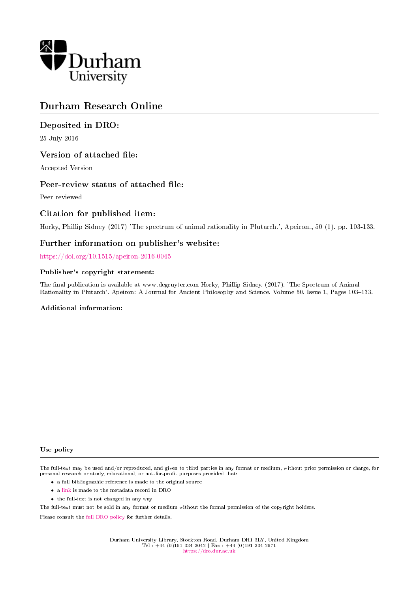

# Durham Research Online

# Deposited in DRO:

25 July 2016

# Version of attached file:

Accepted Version

# Peer-review status of attached file:

Peer-reviewed

# Citation for published item:

Horky, Phillip Sidney (2017) 'The spectrum of animal rationality in Plutarch.', Apeiron., 50 (1). pp. 103-133.

# Further information on publisher's website:

<https://doi.org/10.1515/apeiron-2016-0045>

### Publisher's copyright statement:

The final publication is available at www.degruyter.com Horky, Phillip Sidney. (2017). 'The Spectrum of Animal Rationality in Plutarch'. Apeiron: A Journal for Ancient Philosophy and Science. Volume 50, Issue 1, Pages 103-133.

#### Additional information:

#### Use policy

The full-text may be used and/or reproduced, and given to third parties in any format or medium, without prior permission or charge, for personal research or study, educational, or not-for-profit purposes provided that:

- a full bibliographic reference is made to the original source
- a [link](http://dro.dur.ac.uk/19339/) is made to the metadata record in DRO
- the full-text is not changed in any way

The full-text must not be sold in any format or medium without the formal permission of the copyright holders.

Please consult the [full DRO policy](https://dro.dur.ac.uk/policies/usepolicy.pdf) for further details.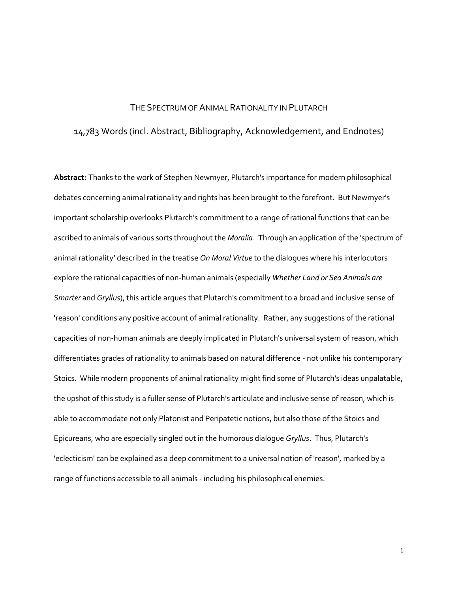### THE SPECTRUM OF ANIMAL RATIONALITY IN PLUTARCH

# 14,783 Words (incl. Abstract, Bibliography, Acknowledgement, and Endnotes)

**Abstract:** Thanks to the work of Stephen Newmyer, Plutarch's importance for modern philosophical debates concerning animal rationality and rights has been brought to the forefront. But Newmyer's important scholarship overlooks Plutarch's commitment to a range of rational functions that can be ascribed to animals of various sorts throughout the *Moralia*. Through an application of the 'spectrum of animal rationality' described in the treatise *On Moral Virtue* to the dialogues where his interlocutors explore the rational capacities of non-human animals (especially *Whether Land or Sea Animals are Smarter* and *Gryllus*), this article argues that Plutarch's commitment to a broad and inclusive sense of 'reason' conditions any positive account of animal rationality. Rather, any suggestions of the rational capacities of non-human animals are deeply implicated in Plutarch's universal system of reason, which differentiates grades of rationality to animals based on natural difference - not unlike his contemporary Stoics. While modern proponents of animal rationality might find some of Plutarch's ideas unpalatable, the upshot of this study is a fuller sense of Plutarch's articulate and inclusive sense of reason, which is able to accommodate not only Platonist and Peripatetic notions, but also those of the Stoics and Epicureans, who are especially singled out in the humorous dialogue *Gryllus*. Thus, Plutarch's 'eclecticism' can be explained as a deep commitment to a universal notion of 'reason', marked by a range of functions accessible to all animals - including his philosophical enemies.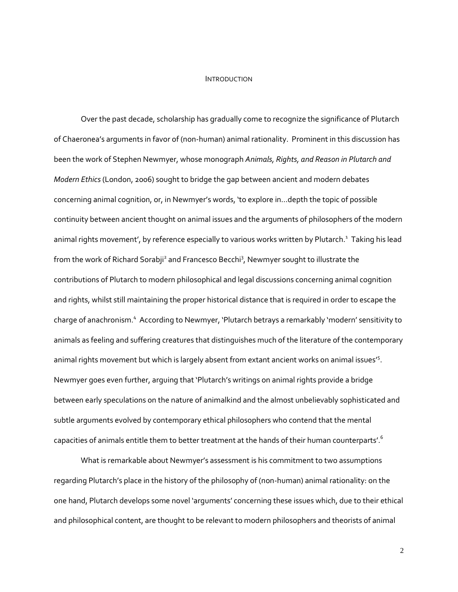#### INTRODUCTION

Over the past decade, scholarship has gradually come to recognize the significance of Plutarch of Chaeronea's arguments in favor of (non-human) animal rationality. Prominent in this discussion has been the work of Stephen Newmyer, whose monograph *Animals, Rights, and Reason in Plutarch and Modern Ethics*(London, 2006) sought to bridge the gap between ancient and modern debates concerning animal cognition, or, in Newmyer's words, 'to explore in…depth the topic of possible continuity between ancient thought on animal issues and the arguments of philosophers of the modern animal rights movement', by reference especially to various works written by Plutarch.<sup>1</sup> Taking his lead from the work of Richard Sorabji<sup>2</sup> and Francesco Becchi<sup>3</sup>, Newmyer sought to illustrate the contributions of Plutarch to modern philosophical and legal discussions concerning animal cognition and rights, whilst still maintaining the proper historical distance that is required in order to escape the charge of anachronism.<sup>4</sup> According to Newmyer, 'Plutarch betrays a remarkably 'modern' sensitivity to animals as feeling and suffering creatures that distinguishes much of the literature of the contemporary animal rights movement but which is largely absent from extant ancient works on animal issues'<sup>5</sup>. Newmyer goes even further, arguing that 'Plutarch's writings on animal rights provide a bridge between early speculations on the nature of animalkind and the almost unbelievably sophisticated and subtle arguments evolved by contemporary ethical philosophers who contend that the mental capacities of animals entitle them to better treatment at the hands of their human counterparts'. $^{\mathsf{6}}$ 

What is remarkable about Newmyer's assessment is his commitment to two assumptions regarding Plutarch's place in the history of the philosophy of (non-human) animal rationality: on the one hand, Plutarch develops some novel 'arguments' concerning these issues which, due to their ethical and philosophical content, are thought to be relevant to modern philosophers and theorists of animal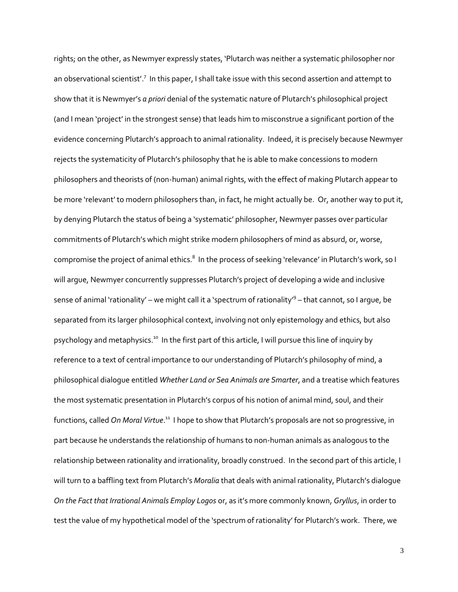rights; on the other, as Newmyer expressly states, 'Plutarch was neither a systematic philosopher nor an observational scientist'.<sup>7</sup> In this paper, I shall take issue with this second assertion and attempt to show that it is Newmyer's *a priori* denial of the systematic nature of Plutarch's philosophical project (and I mean 'project' in the strongest sense) that leads him to misconstrue a significant portion of the evidence concerning Plutarch's approach to animal rationality. Indeed, it is precisely because Newmyer rejects the systematicity of Plutarch's philosophy that he is able to make concessions to modern philosophers and theorists of (non-human) animal rights, with the effect of making Plutarch appear to be more 'relevant' to modern philosophers than, in fact, he might actually be. Or, another way to put it, by denying Plutarch the status of being a 'systematic' philosopher, Newmyer passes over particular commitments of Plutarch's which might strike modern philosophers of mind as absurd, or, worse, compromise the project of animal ethics. $^8$  In the process of seeking 'relevance' in Plutarch's work, so I will argue, Newmyer concurrently suppresses Plutarch's project of developing a wide and inclusive sense of animal 'rationality' – we might call it a 'spectrum of rationality'<sup>9</sup> – that cannot, so I argue, be separated from its larger philosophical context, involving not only epistemology and ethics, but also psychology and metaphysics.<sup>10</sup> In the first part of this article, I will pursue this line of inquiry by reference to a text of central importance to our understanding of Plutarch's philosophy of mind, a philosophical dialogue entitled *Whether Land or Sea Animals are Smarter*, and a treatise which features the most systematic presentation in Plutarch's corpus of his notion of animal mind, soul, and their functions, called *On Moral Virtue*.<sup>11</sup> I hope to show that Plutarch's proposals are not so progressive, in part because he understands the relationship of humans to non-human animals as analogous to the relationship between rationality and irrationality, broadly construed. In the second part of this article, I will turn to a baffling text from Plutarch's *Moralia* that deals with animal rationality, Plutarch's dialogue *On the Fact that Irrational Animals Employ Logos* or, as it's more commonly known, *Gryllus*, in order to test the value of my hypothetical model of the 'spectrum of rationality' for Plutarch's work. There, we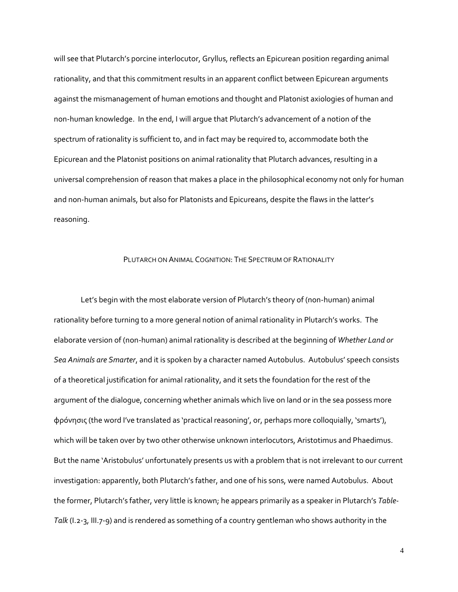will see that Plutarch's porcine interlocutor, Gryllus, reflects an Epicurean position regarding animal rationality, and that this commitment results in an apparent conflict between Epicurean arguments against the mismanagement of human emotions and thought and Platonist axiologies of human and non-human knowledge. In the end, I will argue that Plutarch's advancement of a notion of the spectrum of rationality is sufficient to, and in fact may be required to, accommodate both the Epicurean and the Platonist positions on animal rationality that Plutarch advances, resulting in a universal comprehension of reason that makes a place in the philosophical economy not only for human and non-human animals, but also for Platonists and Epicureans, despite the flaws in the latter's reasoning.

### PLUTARCH ON ANIMAL COGNITION: THE SPECTRUM OF RATIONALITY

Let's begin with the most elaborate version of Plutarch's theory of (non-human) animal rationality before turning to a more general notion of animal rationality in Plutarch's works. The elaborate version of (non-human) animal rationality is described at the beginning of *Whether Land or Sea Animals are Smarter*, and it is spoken by a character named Autobulus. Autobulus' speech consists of a theoretical justification for animal rationality, and it sets the foundation for the rest of the argument of the dialogue, concerning whether animals which live on land or in the sea possess more φρόνησις (the word I've translated as 'practical reasoning', or, perhaps more colloquially, 'smarts'), which will be taken over by two other otherwise unknown interlocutors, Aristotimus and Phaedimus. But the name 'Aristobulus' unfortunately presents us with a problem that is not irrelevant to our current investigation: apparently, both Plutarch's father, and one of his sons, were named Autobulus. About the former, Plutarch's father, very little is known; he appears primarily as a speaker in Plutarch's *Table-Talk* (I.2-3, III.7-9) and is rendered as something of a country gentleman who shows authority in the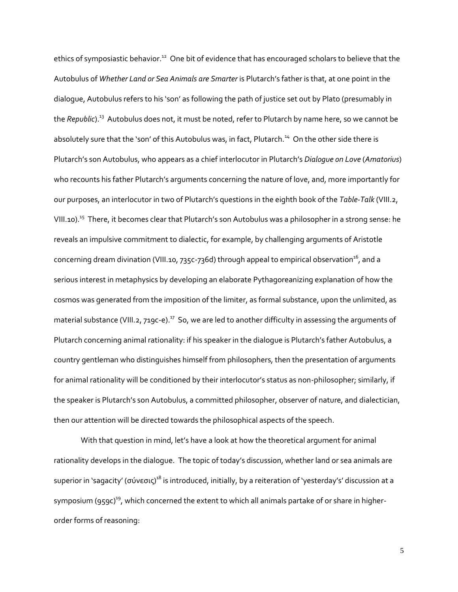ethics of symposiastic behavior.<sup>12</sup> One bit of evidence that has encouraged scholars to believe that the Autobulus of *Whether Land or Sea Animals are Smarter* is Plutarch's father is that, at one point in the dialogue, Autobulus refers to his 'son' as following the path of justice set out by Plato (presumably in the *Republic*).<sup>13</sup> Autobulus does not, it must be noted, refer to Plutarch by name here, so we cannot be absolutely sure that the 'son' of this Autobulus was, in fact, Plutarch.<sup>14</sup> On the other side there is Plutarch's son Autobulus, who appears as a chief interlocutor in Plutarch's *Dialogue on Love* (*Amatorius*) who recounts his father Plutarch's arguments concerning the nature of love, and, more importantly for our purposes, an interlocutor in two of Plutarch's questions in the eighth book of the *Table-Talk* (VIII.2, VIII.10).<sup>15</sup> There, it becomes clear that Plutarch's son Autobulus was a philosopher in a strong sense: he reveals an impulsive commitment to dialectic, for example, by challenging arguments of Aristotle concerning dream divination (VIII.10, 735c-736d) through appeal to empirical observation<sup>16</sup>, and a serious interest in metaphysics by developing an elaborate Pythagoreanizing explanation of how the cosmos was generated from the imposition of the limiter, as formal substance, upon the unlimited, as material substance (VIII.2, 719c-e). $^{17}$  So, we are led to another difficulty in assessing the arguments of Plutarch concerning animal rationality: if his speaker in the dialogue is Plutarch's father Autobulus, a country gentleman who distinguishes himself from philosophers, then the presentation of arguments for animal rationality will be conditioned by their interlocutor's status as non-philosopher; similarly, if the speaker is Plutarch's son Autobulus, a committed philosopher, observer of nature, and dialectician, then our attention will be directed towards the philosophical aspects of the speech.

With that question in mind, let's have a look at how the theoretical argument for animal rationality develops in the dialogue. The topic of today's discussion, whether land or sea animals are superior in 'sagacity' (σύνεσις)<sup>18</sup> is introduced, initially, by a reiteration of 'yesterday's' discussion at a symposium (959c)<sup>19</sup>, which concerned the extent to which all animals partake of or share in higherorder forms of reasoning: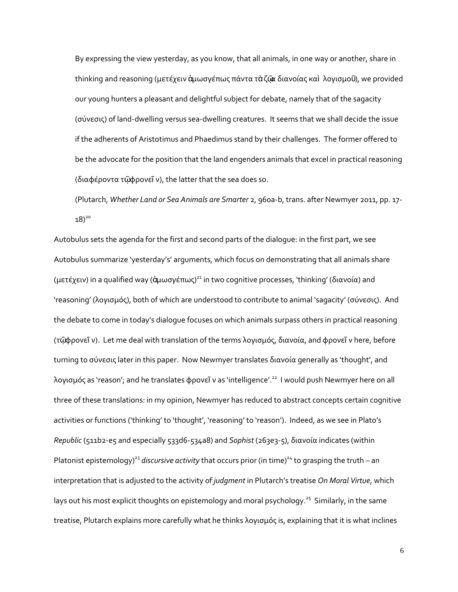By expressing the view yesterday, as you know, that all animals, in one way or another, share in thinking and reasoning (μετέχειν ἁμωσγέπως πάντα τὰζῷα διανοίας καὶ λογισμοῦ), we provided our young hunters a pleasant and delightful subject for debate, namely that of the sagacity (σύνεσις) of land-dwelling versus sea-dwelling creatures. It seems that we shall decide the issue if the adherents of Aristotimus and Phaedimus stand by their challenges. The former offered to be the advocate for the position that the land engenders animals that excel in practical reasoning (διαφέροντα τῷφρονεῖ ν), the latter that the sea does so.

(Plutarch, *Whether Land or Sea Animals are Smarter* 2, 960a-b, trans. after Newmyer 2011, pp. 17-  $18)^{20}$ 

Autobulus sets the agenda for the first and second parts of the dialogue: in the first part, we see Autobulus summarize 'yesterday's' arguments, which focus on demonstrating that all animals share (μετέχειν) in a qualified way (ἀμωσγέπως) $^{21}$  in two cognitive processes, 'thinking' (διανοία) and 'reasoning' (λογισμός), both of which are understood to contribute to animal 'sagacity' (σύνεσις). And the debate to come in today's dialogue focuses on which animals surpass others in practical reasoning (τῷφρονεῖ ν). Let me deal with translation of the terms λογισμός, διανοία, and φρονεῖ ν here, before turning to σύνεσις later in this paper. Now Newmyer translates διανοία generally as 'thought', and λογισμός as 'reason'; and he translates φρονεῖ ν as 'intelligence'.<sup>22</sup> I would push Newmyer here on all three of these translations: in my opinion, Newmyer has reduced to abstract concepts certain cognitive activities or functions ('thinking' to 'thought', 'reasoning' to 'reason'). Indeed, as we see in Plato's *Republic* (511b2-e5 and especially 533d6-534a8) and *Sophist* (263e3-5), διανοία indicates (within Platonist epistemology)<sup>23</sup> *discursive activity* that occurs prior (in time)<sup>24</sup> to grasping the truth – an interpretation that is adjusted to the activity of *judgment* in Plutarch's treatise *On Moral Virtue*, which lays out his most explicit thoughts on epistemology and moral psychology.<sup>25</sup> Similarly, in the same treatise, Plutarch explains more carefully what he thinks λογισμός is, explaining that it is what inclines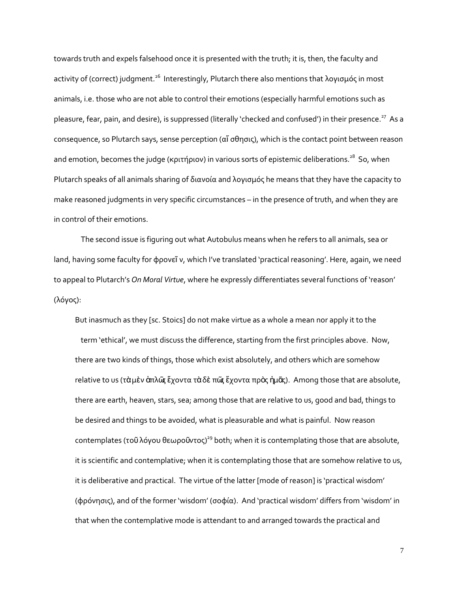towards truth and expels falsehood once it is presented with the truth; it is, then, the faculty and activity of (correct) judgment.<sup>26</sup> Interestingly, Plutarch there also mentions that λογισμός in most animals, i.e. those who are not able to control their emotions (especially harmful emotions such as pleasure, fear, pain, and desire), is suppressed (literally 'checked and confused') in their presence.<sup>27</sup> As a consequence, so Plutarch says, sense perception (αἴ σθησις), which is the contact point between reason and emotion, becomes the judge (κριτήριον) in various sorts of epistemic deliberations. $^{28}$  So, when Plutarch speaks of all animals sharing of διανοία and λογισμός he means that they have the capacity to make reasoned judgments in very specific circumstances – in the presence of truth, and when they are in control of their emotions.

The second issue is figuring out what Autobulus means when he refers to all animals, sea or land, having some faculty for φρονεῖ ν, which I've translated 'practical reasoning'. Here, again, we need to appeal to Plutarch's *On Moral Virtue*, where he expressly differentiates several functions of 'reason' (λόγος):

But inasmuch as they [sc. Stoics] do not make virtue as a whole a mean nor apply it to the term 'ethical', we must discuss the difference, starting from the first principles above. Now, there are two kinds of things, those which exist absolutely, and others which are somehow relative to us (τὰ μὲν ἀπλῶς ἔχοντα τὰ δὲ πῶς ἔχοντα πρὸς ἡμᾶς). Among those that are absolute, there are earth, heaven, stars, sea; among those that are relative to us, good and bad, things to be desired and things to be avoided, what is pleasurable and what is painful. Now reason contemplates (τοῦλόγου θεωροῦντος)<sup>29</sup> both; when it is contemplating those that are absolute, it is scientific and contemplative; when it is contemplating those that are somehow relative to us, it is deliberative and practical. The virtue of the latter [mode of reason] is 'practical wisdom' (φρόνησις), and of the former 'wisdom' (σοφία). And 'practical wisdom' differs from 'wisdom' in that when the contemplative mode is attendant to and arranged towards the practical and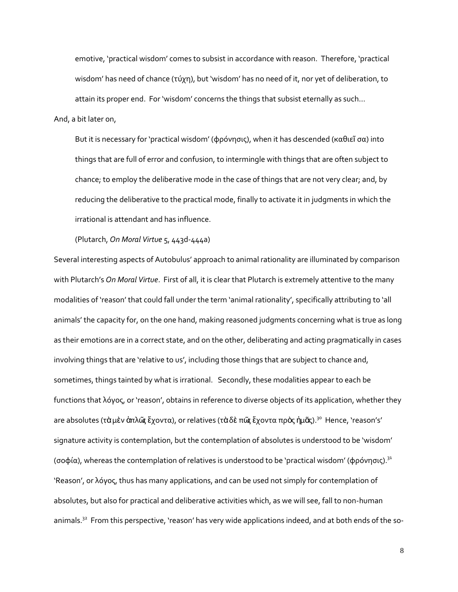emotive, 'practical wisdom' comes to subsist in accordance with reason. Therefore, 'practical wisdom' has need of chance (τύχη), but 'wisdom' has no need of it, nor yet of deliberation, to attain its proper end. For 'wisdom' concerns the things that subsist eternally as such…

### And, a bit later on,

But it is necessary for 'practical wisdom' (φρόνησις), when it has descended (καθιεΐ σα) into things that are full of error and confusion, to intermingle with things that are often subject to chance; to employ the deliberative mode in the case of things that are not very clear; and, by reducing the deliberative to the practical mode, finally to activate it in judgments in which the irrational is attendant and has influence.

(Plutarch, *On Moral Virtue* 5, 443d-444a)

Several interesting aspects of Autobulus' approach to animal rationality are illuminated by comparison with Plutarch's *On Moral Virtue*. First of all, it is clear that Plutarch is extremely attentive to the many modalities of 'reason' that could fall under the term 'animal rationality', specifically attributing to 'all animals' the capacity for, on the one hand, making reasoned judgments concerning what is true as long as their emotions are in a correct state, and on the other, deliberating and acting pragmatically in cases involving things that are 'relative to us', including those things that are subject to chance and, sometimes, things tainted by what is irrational. Secondly, these modalities appear to each be functions that λόγος, or 'reason', obtains in reference to diverse objects of its application, whether they are absolutes (τὰ μὲν ἁπλῶς ἔχοντα), or relatives (τὰδὲ πῶς ἔχοντα πρὸς ἡμᾶς). $^{3^{\text{o}}}$  Hence, 'reason's' signature activity is contemplation, but the contemplation of absolutes is understood to be 'wisdom' (σοφία), whereas the contemplation of relatives is understood to be 'practical wisdom' (φρόνησις). $31$ 'Reason', or λόγος, thus has many applications, and can be used not simply for contemplation of absolutes, but also for practical and deliberative activities which, as we will see, fall to non-human animals.<sup>32</sup> From this perspective, 'reason' has very wide applications indeed, and at both ends of the so-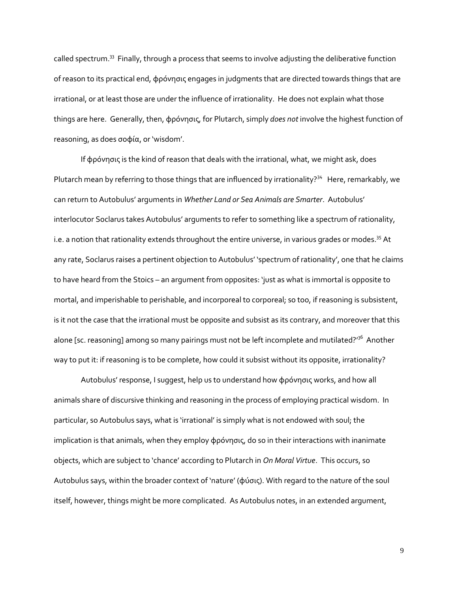called spectrum.<sup>33</sup> Finally, through a process that seems to involve adjusting the deliberative function of reason to its practical end, φρόνησις engages in judgments that are directed towards things that are irrational, or at least those are under the influence of irrationality. He does not explain what those things are here. Generally, then, φρόνησις, for Plutarch, simply *does not* involve the highest function of reasoning, as does σοφία, or 'wisdom'.

If φρόνησις is the kind of reason that deals with the irrational, what, we might ask, does Plutarch mean by referring to those things that are influenced by irrationality?<sup>34</sup> Here, remarkably, we can return to Autobulus' arguments in *Whether Land or Sea Animals are Smarter*. Autobulus' interlocutor Soclarus takes Autobulus' arguments to refer to something like a spectrum of rationality, i.e. a notion that rationality extends throughout the entire universe, in various grades or modes.<sup>35</sup> At any rate, Soclarus raises a pertinent objection to Autobulus' 'spectrum of rationality', one that he claims to have heard from the Stoics – an argument from opposites: 'just as what is immortal is opposite to mortal, and imperishable to perishable, and incorporeal to corporeal; so too, if reasoning is subsistent, is it not the case that the irrational must be opposite and subsist as its contrary, and moreover that this alone [sc. reasoning] among so many pairings must not be left incomplete and mutilated?'<sup>36</sup> Another way to put it: if reasoning is to be complete, how could it subsist without its opposite, irrationality?

Autobulus' response, I suggest, help us to understand how φρόνησις works, and how all animals share of discursive thinking and reasoning in the process of employing practical wisdom. In particular, so Autobulus says, what is 'irrational' is simply what is not endowed with soul; the implication is that animals, when they employ φρόνησις, do so in their interactions with inanimate objects, which are subject to 'chance' according to Plutarch in *On Moral Virtue*. This occurs, so Autobulus says, within the broader context of 'nature' (φύσις). With regard to the nature of the soul itself, however, things might be more complicated. As Autobulus notes, in an extended argument,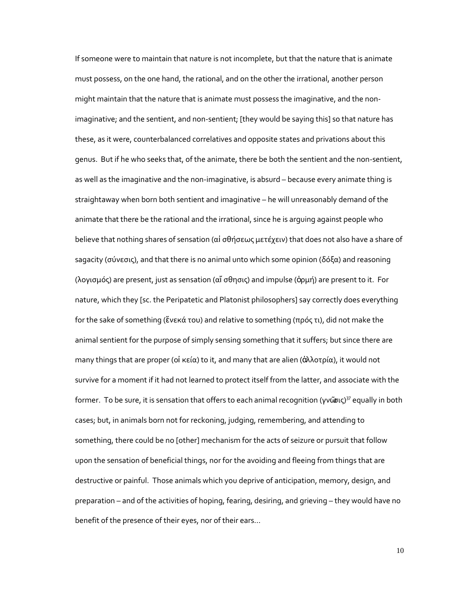If someone were to maintain that nature is not incomplete, but that the nature that is animate must possess, on the one hand, the rational, and on the other the irrational, another person might maintain that the nature that is animate must possess the imaginative, and the nonimaginative; and the sentient, and non-sentient; [they would be saying this] so that nature has these, as it were, counterbalanced correlatives and opposite states and privations about this genus. But if he who seeks that, of the animate, there be both the sentient and the non-sentient, as well as the imaginative and the non-imaginative, is absurd – because every animate thing is straightaway when born both sentient and imaginative – he will unreasonably demand of the animate that there be the rational and the irrational, since he is arguing against people who believe that nothing shares of sensation (αἰ σθήσεως μετέχειν) that does not also have a share of sagacity (σύνεσις), and that there is no animal unto which some opinion (δόξα) and reasoning (λογισμός) are present, just as sensation (αἴ σθησις) and impulse (ὁρμή) are present to it. For nature, which they [sc. the Peripatetic and Platonist philosophers] say correctly does everything for the sake of something (ἕνεκά του) and relative to something (πρός τι), did not make the animal sentient for the purpose of simply sensing something that it suffers; but since there are many things that are proper (οἰ κεία) to it, and many that are alien (ἀλλοτρία), it would not survive for a moment if it had not learned to protect itself from the latter, and associate with the former. To be sure, it is sensation that offers to each animal recognition (γνῶσις)<sup>37</sup> equally in both cases; but, in animals born not for reckoning, judging, remembering, and attending to something, there could be no [other] mechanism for the acts of seizure or pursuit that follow upon the sensation of beneficial things, nor for the avoiding and fleeing from things that are destructive or painful. Those animals which you deprive of anticipation, memory, design, and preparation – and of the activities of hoping, fearing, desiring, and grieving – they would have no benefit of the presence of their eyes, nor of their ears…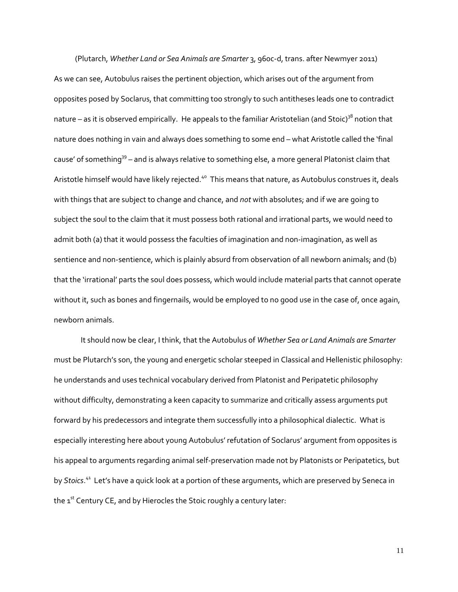(Plutarch, *Whether Land or Sea Animals are Smarter* 3, 960c-d, trans. after Newmyer 2011) As we can see, Autobulus raises the pertinent objection, which arises out of the argument from opposites posed by Soclarus, that committing too strongly to such antitheses leads one to contradict nature – as it is observed empirically. He appeals to the familiar Aristotelian (and Stoic)<sup>38</sup> notion that nature does nothing in vain and always does something to some end – what Aristotle called the 'final cause' of something<sup>39</sup> – and is always relative to something else, a more general Platonist claim that Aristotle himself would have likely rejected.<sup>40</sup> This means that nature, as Autobulus construes it, deals with things that are subject to change and chance, and *not* with absolutes; and if we are going to subject the soul to the claim that it must possess both rational and irrational parts, we would need to admit both (a) that it would possess the faculties of imagination and non-imagination, as well as sentience and non-sentience, which is plainly absurd from observation of all newborn animals; and (b) that the 'irrational' parts the soul does possess, which would include material parts that cannot operate without it, such as bones and fingernails, would be employed to no good use in the case of, once again, newborn animals.

It should now be clear, I think, that the Autobulus of *Whether Sea or Land Animals are Smarter*  must be Plutarch's son, the young and energetic scholar steeped in Classical and Hellenistic philosophy: he understands and uses technical vocabulary derived from Platonist and Peripatetic philosophy without difficulty, demonstrating a keen capacity to summarize and critically assess arguments put forward by his predecessors and integrate them successfully into a philosophical dialectic. What is especially interesting here about young Autobulus' refutation of Soclarus' argument from opposites is his appeal to arguments regarding animal self-preservation made not by Platonists or Peripatetics, but by *Stoics*. 41 Let's have a quick look at a portion of these arguments, which are preserved by Seneca in the  $1<sup>st</sup>$  Century CE, and by Hierocles the Stoic roughly a century later: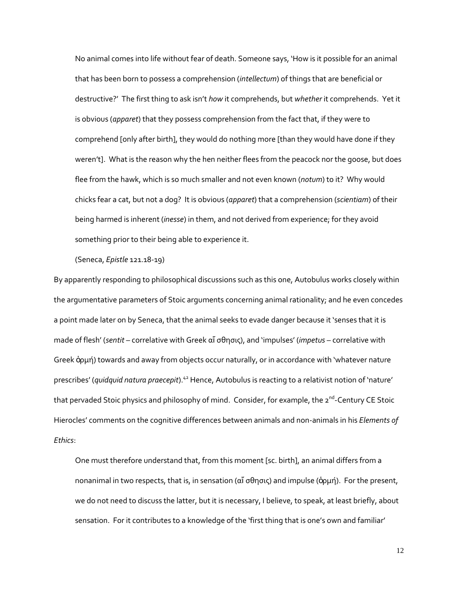No animal comes into life without fear of death. Someone says, 'How is it possible for an animal that has been born to possess a comprehension (*intellectum*) of things that are beneficial or destructive?' The first thing to ask isn't *how* it comprehends, but *whether* it comprehends. Yet it is obvious (*apparet*) that they possess comprehension from the fact that, if they were to comprehend [only after birth], they would do nothing more [than they would have done if they weren't]. What is the reason why the hen neither flees from the peacock nor the goose, but does flee from the hawk, which is so much smaller and not even known (*notum*) to it? Why would chicks fear a cat, but not a dog? It is obvious (*apparet*) that a comprehension (*scientiam*) of their being harmed is inherent (*inesse*) in them, and not derived from experience; for they avoid something prior to their being able to experience it.

(Seneca, *Epistle* 121.18-19)

By apparently responding to philosophical discussions such as this one, Autobulus works closely within the argumentative parameters of Stoic arguments concerning animal rationality; and he even concedes a point made later on by Seneca, that the animal seeks to evade danger because it 'senses that it is made of flesh' (*sentit* – correlative with Greek αἴ σθησις), and 'impulses' (*impetus* – correlative with Greek ὁρμή) towards and away from objects occur naturally, or in accordance with 'whatever nature prescribes' (*quidquid natura praecepit*).<sup>42</sup> Hence, Autobulus is reacting to a relativist notion of 'nature' that pervaded Stoic physics and philosophy of mind. Consider, for example, the 2<sup>nd</sup>-Century CE Stoic Hierocles' comments on the cognitive differences between animals and non-animals in his *Elements of Ethics*:

One must therefore understand that, from this moment [sc. birth], an animal differs from a nonanimal in two respects, that is, in sensation (αἴ σθησις) and impulse (ὁρμή). For the present, we do not need to discuss the latter, but it is necessary, I believe, to speak, at least briefly, about sensation. For it contributes to a knowledge of the 'first thing that is one's own and familiar'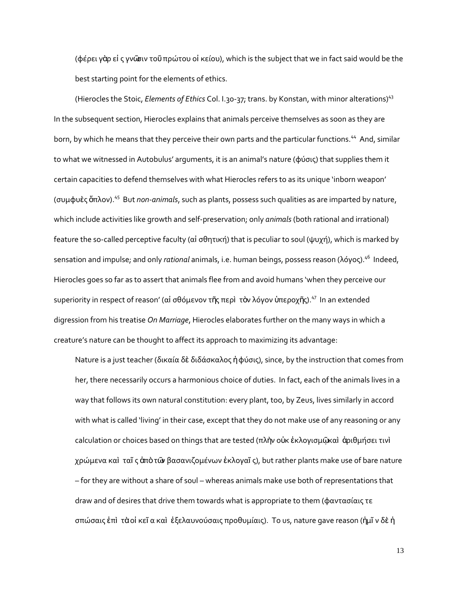(φέρει γὰρ εἰ ς γνῶσιν τοῦπρώτου οἰ κείου), which is the subject that we in fact said would be the best starting point for the elements of ethics.

(Hierocles the Stoic, *Elements of Ethics* Col. I.30-37; trans. by Konstan, with minor alterations)<sup>43</sup> In the subsequent section, Hierocles explains that animals perceive themselves as soon as they are born, by which he means that they perceive their own parts and the particular functions.<sup>44</sup> And, similar to what we witnessed in Autobulus' arguments, it is an animal's nature (φύσις) that supplies them it certain capacities to defend themselves with what Hierocles refers to as its unique 'inborn weapon' (συμφυὲς ὅπλον).<sup>45</sup> But *non-animals*, such as plants, possess such qualities as are imparted by nature, which include activities like growth and self-preservation; only *animals* (both rational and irrational) feature the so-called perceptive faculty (αἰ σθητική) that is peculiar to soul (ψυχή), which is marked by sensation and impulse; and only *rational* animals, i.e. human beings, possess reason (λόγος). 46 Indeed, Hierocles goes so far as to assert that animals flee from and avoid humans 'when they perceive our superiority in respect of reason' (αἰ σθόμενον τῆς περὶ τὸν λόγον ὑπεροχῆς). $47$  In an extended digression from his treatise *On Marriage*, Hierocles elaborates further on the many ways in which a creature's nature can be thought to affect its approach to maximizing its advantage:

Nature is a just teacher (δικαία δὲ διδάσκαλος ἡφύσις), since, by the instruction that comes from her, there necessarily occurs a harmonious choice of duties. In fact, each of the animals lives in a way that follows its own natural constitution: every plant, too, by Zeus, lives similarly in accord with what is called 'living' in their case, except that they do not make use of any reasoning or any calculation or choices based on things that are tested (πλὴν οὐκ ἐκλογισμῷκαὶ ἀριθμήσει τινὶ χρώμενα καὶ ταῖ ς ἀπὸτῶν βασανιζομένων ἐκλογαῖ ς), but rather plants make use of bare nature – for they are without a share of soul – whereas animals make use both of representations that draw and of desires that drive them towards what is appropriate to them (φαντασίαις τε σπώσαις ἐπὶ τὰοἰ κεῖ α καὶ ἐξελαυνούσαις προθυμίαις). To us, nature gave reason (ἡμῖ ν δὲ ἡ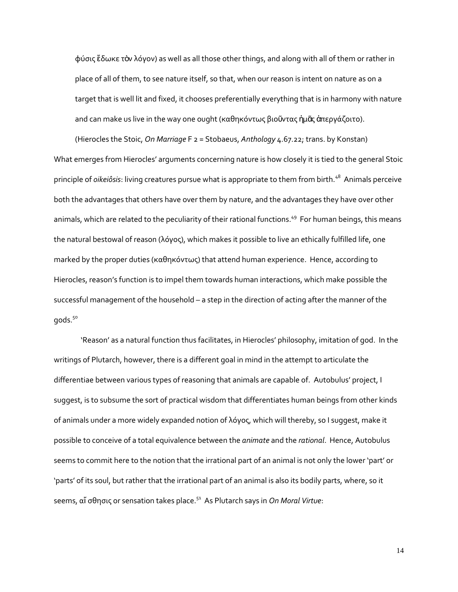φύσις ἔδωκε τὸν λόγον) as well as all those other things, and along with all of them or rather in place of all of them, to see nature itself, so that, when our reason is intent on nature as on a target that is well lit and fixed, it chooses preferentially everything that is in harmony with nature and can make us live in the way one ought (καθηκόντως βιοῦντας ἡμᾶς ἀπεργάζοιτο).

(Hierocles the Stoic, *On Marriage* F 2 = Stobaeus, *Anthology* 4.67.22; trans. by Konstan) What emerges from Hierocles' arguments concerning nature is how closely it is tied to the general Stoic principle of *oikeiôsis*: living creatures pursue what is appropriate to them from birth.<sup>48</sup> Animals perceive both the advantages that others have over them by nature, and the advantages they have over other animals, which are related to the peculiarity of their rational functions.<sup>49</sup> For human beings, this means the natural bestowal of reason (λόγος), which makes it possible to live an ethically fulfilled life, one marked by the proper duties (καθηκόντως) that attend human experience. Hence, according to Hierocles, reason's function is to impel them towards human interactions, which make possible the successful management of the household – a step in the direction of acting after the manner of the gods.<sup>50</sup>

'Reason' as a natural function thus facilitates, in Hierocles' philosophy, imitation of god. In the writings of Plutarch, however, there is a different goal in mind in the attempt to articulate the differentiae between various types of reasoning that animals are capable of. Autobulus' project, I suggest, is to subsume the sort of practical wisdom that differentiates human beings from other kinds of animals under a more widely expanded notion of λόγος, which will thereby, so I suggest, make it possible to conceive of a total equivalence between the *animate* and the *rational*. Hence, Autobulus seems to commit here to the notion that the irrational part of an animal is not only the lower 'part' or 'parts' of its soul, but rather that the irrational part of an animal is also its bodily parts, where, so it seems, αἴ σθησις or sensation takes place.<sup>51</sup> As Plutarch says in *On Moral Virtue*: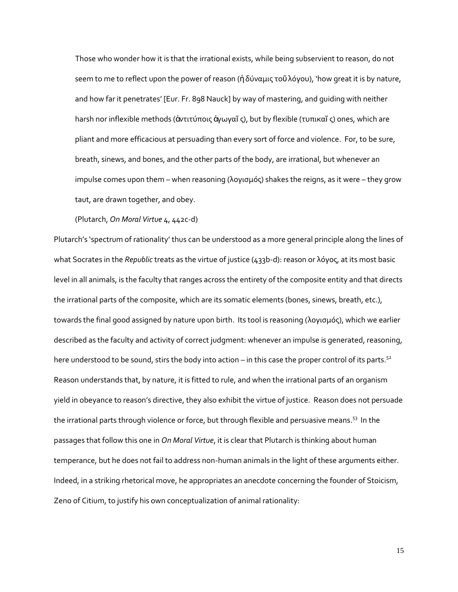Those who wonder how it is that the irrational exists, while being subservient to reason, do not seem to me to reflect upon the power of reason (ἡδύναμις τοῦ λόγου), 'how great it is by nature, and how far it penetrates' [Eur. Fr. 898 Nauck] by way of mastering, and guiding with neither harsh nor inflexible methods (ἀντιτύποις ἀγωγαῖς), but by flexible (τυπικαῖς) ones, which are pliant and more efficacious at persuading than every sort of force and violence. For, to be sure, breath, sinews, and bones, and the other parts of the body, are irrational, but whenever an impulse comes upon them – when reasoning (λογισμός) shakes the reigns, as it were – they grow taut, are drawn together, and obey.

(Plutarch, *On Moral Virtue* 4, 442c-d)

Plutarch's 'spectrum of rationality' thus can be understood as a more general principle along the lines of what Socrates in the *Republic* treats as the virtue of justice (433b-d): reason or λόγος, at its most basic level in all animals, is the faculty that ranges across the entirety of the composite entity and that directs the irrational parts of the composite, which are its somatic elements (bones, sinews, breath, etc.), towards the final good assigned by nature upon birth. Its tool is reasoning (λογισμός), which we earlier described as the faculty and activity of correct judgment: whenever an impulse is generated, reasoning, here understood to be sound, stirs the body into action – in this case the proper control of its parts.<sup>52</sup> Reason understands that, by nature, it is fitted to rule, and when the irrational parts of an organism yield in obeyance to reason's directive, they also exhibit the virtue of justice. Reason does not persuade the irrational parts through violence or force, but through flexible and persuasive means.<sup>53</sup> In the passages that follow this one in *On Moral Virtue*, it is clear that Plutarch is thinking about human temperance, but he does not fail to address non-human animals in the light of these arguments either. Indeed, in a striking rhetorical move, he appropriates an anecdote concerning the founder of Stoicism, Zeno of Citium, to justify his own conceptualization of animal rationality: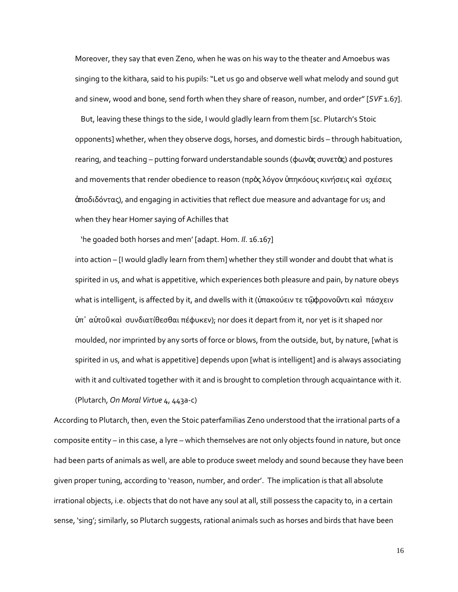Moreover, they say that even Zeno, when he was on his way to the theater and Amoebus was singing to the kithara, said to his pupils: "Let us go and observe well what melody and sound gut and sinew, wood and bone, send forth when they share of reason, number, and order" [*SVF* 1.67].

But, leaving these things to the side, I would gladly learn from them [sc. Plutarch's Stoic opponents] whether, when they observe dogs, horses, and domestic birds – through habituation, rearing, and teaching – putting forward understandable sounds (φωνὰς συνετὰς) and postures and movements that render obedience to reason (πρὸς λόγον ὑπηκόους κινήσεις καὶ σχέσεις ἀποδιδόντας), and engaging in activities that reflect due measure and advantage for us; and when they hear Homer saying of Achilles that

'he goaded both horses and men' [adapt. Hom. *Il*. 16.167]

into action – [I would gladly learn from them] whether they still wonder and doubt that what is spirited in us, and what is appetitive, which experiences both pleasure and pain, by nature obeys what is intelligent, is affected by it, and dwells with it (ὑπακούειν τε τῷφρονοῦντι καὶ πάσχειν ὑπ᾽ αὐτοῦ καὶ συνδιατίθεσθαι πέφυκεν); nor does it depart from it, nor yet is it shaped nor moulded, nor imprinted by any sorts of force or blows, from the outside, but, by nature, [what is spirited in us, and what is appetitive] depends upon [what is intelligent] and is always associating with it and cultivated together with it and is brought to completion through acquaintance with it.

(Plutarch, *On Moral Virtue* 4, 443a-c)

According to Plutarch, then, even the Stoic paterfamilias Zeno understood that the irrational parts of a composite entity – in this case, a lyre – which themselves are not only objects found in nature, but once had been parts of animals as well, are able to produce sweet melody and sound because they have been given proper tuning, according to 'reason, number, and order'. The implication is that all absolute irrational objects, i.e. objects that do not have any soul at all, still possess the capacity to, in a certain sense, 'sing'; similarly, so Plutarch suggests, rational animals such as horses and birds that have been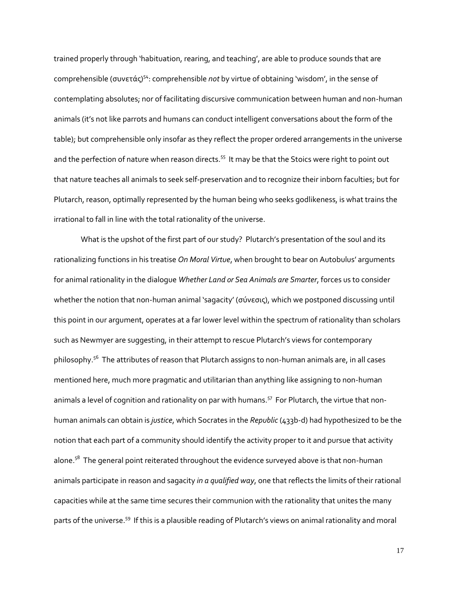trained properly through 'habituation, rearing, and teaching', are able to produce sounds that are comprehensible (συνετάς)<sup>54</sup>: comprehensible *not* by virtue of obtaining 'wisdom', in the sense of contemplating absolutes; nor of facilitating discursive communication between human and non-human animals (it's not like parrots and humans can conduct intelligent conversations about the form of the table); but comprehensible only insofar as they reflect the proper ordered arrangements in the universe and the perfection of nature when reason directs.<sup>55</sup> It may be that the Stoics were right to point out that nature teaches all animals to seek self-preservation and to recognize their inborn faculties; but for Plutarch, reason, optimally represented by the human being who seeks godlikeness, is what trains the irrational to fall in line with the total rationality of the universe.

What is the upshot of the first part of our study? Plutarch's presentation of the soul and its rationalizing functions in his treatise *On Moral Virtue*, when brought to bear on Autobulus' arguments for animal rationality in the dialogue *Whether Land or Sea Animals are Smarter*, forces us to consider whether the notion that non-human animal 'sagacity' (σύνεσις), which we postponed discussing until this point in our argument, operates at a far lower level within the spectrum of rationality than scholars such as Newmyer are suggesting, in their attempt to rescue Plutarch's views for contemporary philosophy.<sup>56</sup> The attributes of reason that Plutarch assigns to non-human animals are, in all cases mentioned here, much more pragmatic and utilitarian than anything like assigning to non-human animals a level of cognition and rationality on par with humans.<sup>57</sup> For Plutarch, the virtue that nonhuman animals can obtain is *justice*, which Socrates in the *Republic* (433b-d) had hypothesized to be the notion that each part of a community should identify the activity proper to it and pursue that activity alone.<sup>58</sup> The general point reiterated throughout the evidence surveyed above is that non-human animals participate in reason and sagacity *in a qualified way*, one that reflects the limits of their rational capacities while at the same time secures their communion with the rationality that unites the many parts of the universe.<sup>59</sup> If this is a plausible reading of Plutarch's views on animal rationality and moral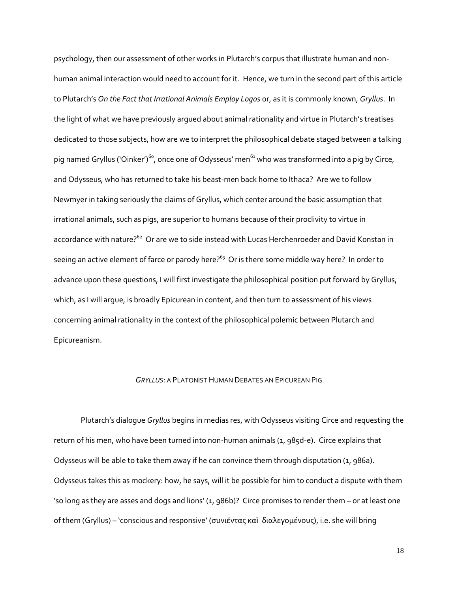psychology, then our assessment of other works in Plutarch's corpus that illustrate human and nonhuman animal interaction would need to account for it. Hence, we turn in the second part of this article to Plutarch's *On the Fact that Irrational Animals Employ Logos* or, as it is commonly known, *Gryllus*. In the light of what we have previously argued about animal rationality and virtue in Plutarch's treatises dedicated to those subjects, how are we to interpret the philosophical debate staged between a talking pig named Gryllus ('Oinker')<sup>60</sup>, once one of Odysseus' men<sup>61</sup> who was transformed into a pig by Circe, and Odysseus, who has returned to take his beast-men back home to Ithaca? Are we to follow Newmyer in taking seriously the claims of Gryllus, which center around the basic assumption that irrational animals, such as pigs, are superior to humans because of their proclivity to virtue in accordance with nature?<sup>62</sup> Or are we to side instead with Lucas Herchenroeder and David Konstan in seeing an active element of farce or parody here? $^{63}$  Or is there some middle way here? In order to advance upon these questions, I will first investigate the philosophical position put forward by Gryllus, which, as I will argue, is broadly Epicurean in content, and then turn to assessment of his views concerning animal rationality in the context of the philosophical polemic between Plutarch and Epicureanism.

#### *GRYLLUS*: A PLATONIST HUMAN DEBATES AN EPICUREAN PIG

Plutarch's dialogue *Gryllus* begins in medias res, with Odysseus visiting Circe and requesting the return of his men, who have been turned into non-human animals (1, 985d-e). Circe explains that Odysseus will be able to take them away if he can convince them through disputation (1, 986a). Odysseus takes this as mockery: how, he says, will it be possible for him to conduct a dispute with them 'so long as they are asses and dogs and lions' (1, 986b)? Circe promises to render them – or at least one of them (Gryllus) – 'conscious and responsive' (συνιέντας καὶ διαλεγομένους), i.e. she will bring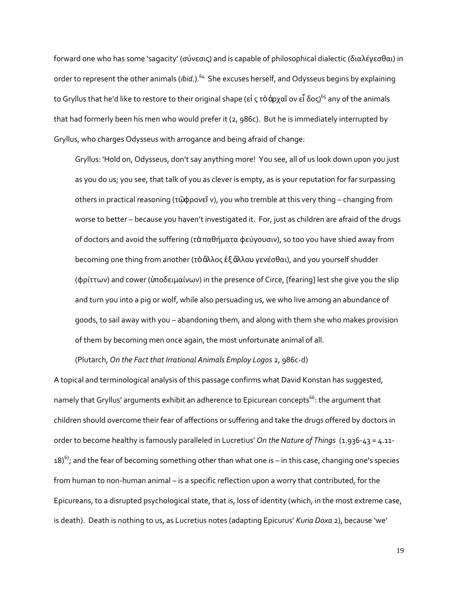forward one who has some 'sagacity' (σύνεσις) and is capable of philosophical dialectic (διαλέγεσθαι) in order to represent the other animals (*ibid.*).<sup>64</sup> She excuses herself, and Odysseus begins by explaining to Gryllus that he'd like to restore to their original shape (εἰ ς τὸ ἀρχαῖ ον εἶ δος)<sup>65</sup> any of the animals that had formerly been his men who would prefer it (2, 986c). But he is immediately interrupted by Gryllus, who charges Odysseus with arrogance and being afraid of change:

Gryllus: 'Hold on, Odysseus, don't say anything more! You see, all of us look down upon you just as you do us; you see, that talk of you as clever is empty, as is your reputation for far surpassing others in practical reasoning (τῷφρονεῖ ν), you who tremble at this very thing – changing from worse to better – because you haven't investigated it. For, just as children are afraid of the drugs of doctors and avoid the suffering (τὰπαθήματα φεύγουσιν), so too you have shied away from becoming one thing from another (τὸἄλλος ἐξ ἄλλου γενέσθαι), and you yourself shudder (φρίττων) and cower (ὑποδειμαίνων) in the presence of Circe, [fearing] lest she give you the slip and turn you into a pig or wolf, while also persuading us, we who live among an abundance of goods, to sail away with you – abandoning them, and along with them she who makes provision of them by becoming men once again, the most unfortunate animal of all.

(Plutarch, *On the Fact that Irrational Animals Employ Logos* 2, 986c-d)

A topical and terminological analysis of this passage confirms what David Konstan has suggested, namely that Gryllus' arguments exhibit an adherence to Epicurean concepts<sup>66</sup>: the argument that children should overcome their fear of affections or suffering and take the drugs offered by doctors in order to become healthy is famously paralleled in Lucretius' *On the Nature of Things* (1.936-43 = 4.11- 18)<sup>67</sup>; and the fear of becoming something other than what one is – in this case, changing one's species from human to non-human animal – is a specific reflection upon a worry that contributed, for the Epicureans, to a disrupted psychological state, that is, loss of identity (which, in the most extreme case, is death). Death is nothing to us, as Lucretius notes (adapting Epicurus' *Kuria Doxa* 2), because 'we'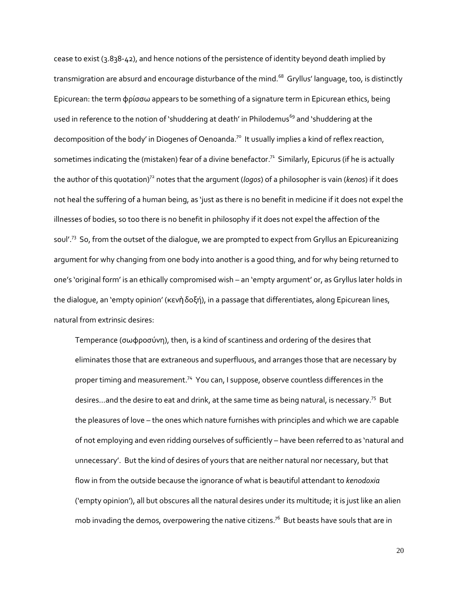cease to exist (3.838-42), and hence notions of the persistence of identity beyond death implied by transmigration are absurd and encourage disturbance of the mind. $^{68}$  Gryllus' language, too, is distinctly Epicurean: the term φρίσσω appears to be something of a signature term in Epicurean ethics, being used in reference to the notion of 'shuddering at death' in Philodemus<sup>69</sup> and 'shuddering at the decomposition of the body' in Diogenes of Oenoanda.<sup>70</sup> It usually implies a kind of reflex reaction, sometimes indicating the (mistaken) fear of a divine benefactor. $^{71}$  Similarly, Epicurus (if he is actually the author of this quotation)<sup>72</sup> notes that the argument (*logos*) of a philosopher is vain (*kenos*) if it does not heal the suffering of a human being, as 'just as there is no benefit in medicine if it does not expel the illnesses of bodies, so too there is no benefit in philosophy if it does not expel the affection of the soul'.<sup>73</sup> So, from the outset of the dialogue, we are prompted to expect from Gryllus an Epicureanizing argument for why changing from one body into another is a good thing, and for why being returned to one's 'original form' is an ethically compromised wish – an 'empty argument' or, as Gryllus later holds in the dialogue, an 'empty opinion' (κενὴδοξή), in a passage that differentiates, along Epicurean lines, natural from extrinsic desires:

Temperance (σωφροσύνη), then, is a kind of scantiness and ordering of the desires that eliminates those that are extraneous and superfluous, and arranges those that are necessary by proper timing and measurement.<sup>74</sup> You can, I suppose, observe countless differences in the desires...and the desire to eat and drink, at the same time as being natural, is necessary.<sup>75</sup> But the pleasures of love – the ones which nature furnishes with principles and which we are capable of not employing and even ridding ourselves of sufficiently – have been referred to as 'natural and unnecessary'. But the kind of desires of yours that are neither natural nor necessary, but that flow in from the outside because the ignorance of what is beautiful attendant to *kenodoxia* ('empty opinion'), all but obscures all the natural desires under its multitude; it is just like an alien mob invading the demos, overpowering the native citizens.<sup>76</sup> But beasts have souls that are in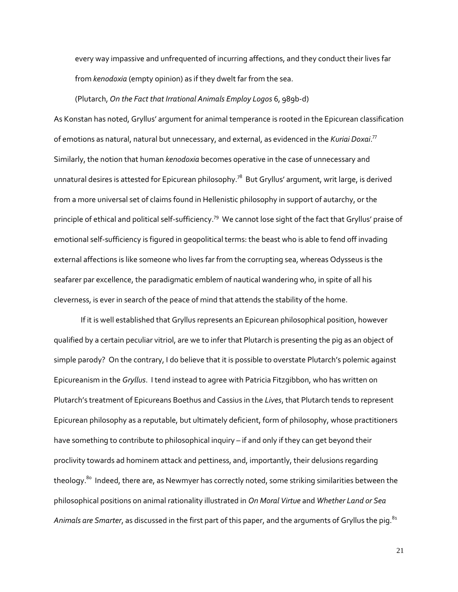every way impassive and unfrequented of incurring affections, and they conduct their lives far from *kenodoxia* (empty opinion) as if they dwelt far from the sea.

#### (Plutarch, *On the Fact that Irrational Animals Employ Logos* 6, 989b-d)

As Konstan has noted, Gryllus' argument for animal temperance is rooted in the Epicurean classification of emotions as natural, natural but unnecessary, and external, as evidenced in the *Kuriai Doxai*. 77 Similarly, the notion that human *kenodoxia* becomes operative in the case of unnecessary and unnatural desires is attested for Epicurean philosophy. $^{78}$  But Gryllus' argument, writ large, is derived from a more universal set of claims found in Hellenistic philosophy in support of autarchy, or the principle of ethical and political self-sufficiency.<sup>79</sup> We cannot lose sight of the fact that Gryllus' praise of emotional self-sufficiency is figured in geopolitical terms: the beast who is able to fend off invading external affections is like someone who lives far from the corrupting sea, whereas Odysseus is the seafarer par excellence, the paradigmatic emblem of nautical wandering who, in spite of all his cleverness, is ever in search of the peace of mind that attends the stability of the home.

If it is well established that Gryllus represents an Epicurean philosophical position, however qualified by a certain peculiar vitriol, are we to infer that Plutarch is presenting the pig as an object of simple parody? On the contrary, I do believe that it is possible to overstate Plutarch's polemic against Epicureanism in the *Gryllus*. I tend instead to agree with Patricia Fitzgibbon, who has written on Plutarch's treatment of Epicureans Boethus and Cassius in the *Lives*, that Plutarch tends to represent Epicurean philosophy as a reputable, but ultimately deficient, form of philosophy, whose practitioners have something to contribute to philosophical inquiry – if and only if they can get beyond their proclivity towards ad hominem attack and pettiness, and, importantly, their delusions regarding theology.<sup>80</sup> Indeed, there are, as Newmyer has correctly noted, some striking similarities between the philosophical positions on animal rationality illustrated in *On Moral Virtue* and *Whether Land or Sea*  A*nimals are Smarter*, as discussed in the first part of this paper, and the arguments of Gryllus the pig.<sup>81</sup>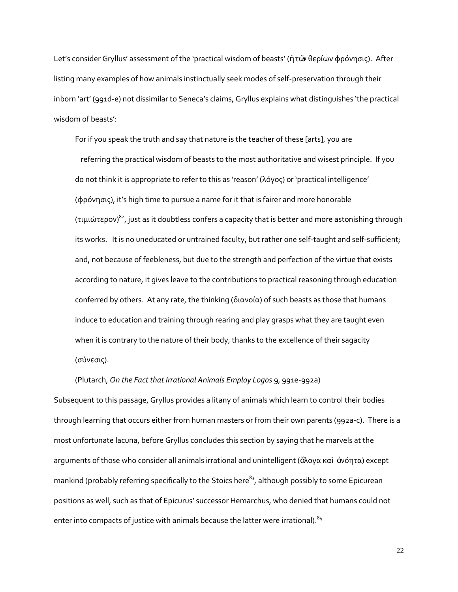Let's consider Gryllus' assessment of the 'practical wisdom of beasts' (ἡτῶν θερίων φρόνησις). After listing many examples of how animals instinctually seek modes of self-preservation through their inborn 'art' (991d-e) not dissimilar to Seneca's claims, Gryllus explains what distinguishes 'the practical wisdom of beasts':

For if you speak the truth and say that nature is the teacher of these [arts], you are referring the practical wisdom of beasts to the most authoritative and wisest principle. If you do not think it is appropriate to refer to this as 'reason' (λόγος) or 'practical intelligence' (φρόνησις), it's high time to pursue a name for it that is fairer and more honorable (τιμιώτερον) <sup>82</sup>, just as it doubtless confers a capacity that is better and more astonishing through its works. It is no uneducated or untrained faculty, but rather one self-taught and self-sufficient; and, not because of feebleness, but due to the strength and perfection of the virtue that exists according to nature, it gives leave to the contributions to practical reasoning through education conferred by others. At any rate, the thinking (διανοία) of such beasts as those that humans induce to education and training through rearing and play grasps what they are taught even when it is contrary to the nature of their body, thanks to the excellence of their sagacity (σύνεσις).

### (Plutarch, *On the Fact that Irrational Animals Employ Logos* 9, 991e-992a)

Subsequent to this passage, Gryllus provides a litany of animals which learn to control their bodies through learning that occurs either from human masters or from their own parents (992a-c). There is a most unfortunate lacuna, before Gryllus concludes this section by saying that he marvels at the arguments of those who consider all animals irrational and unintelligent (ἄλογα καὶ ἀνόητα) except mankind (probably referring specifically to the Stoics here<sup>83</sup>, although possibly to some Epicurean positions as well, such as that of Epicurus' successor Hemarchus, who denied that humans could not enter into compacts of justice with animals because the latter were irrational).<sup>84</sup>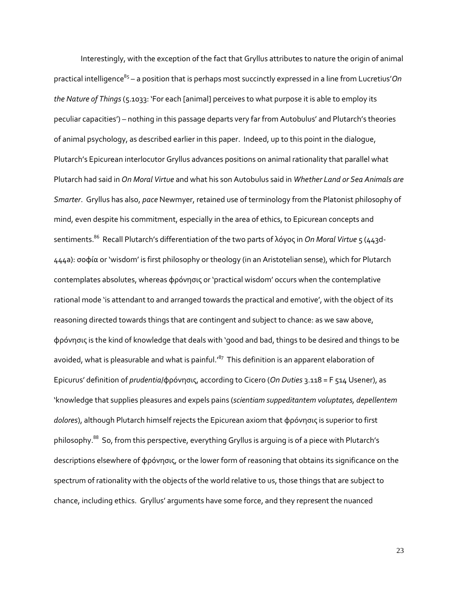Interestingly, with the exception of the fact that Gryllus attributes to nature the origin of animal practical intelligence<sup>85</sup> – a position that is perhaps most succinctly expressed in a line from Lucretius'*On the Nature of Things* (5.1033: 'For each [animal] perceives to what purpose it is able to employ its peculiar capacities') – nothing in this passage departs very far from Autobulus' and Plutarch's theories of animal psychology, as described earlier in this paper. Indeed, up to this point in the dialogue, Plutarch's Epicurean interlocutor Gryllus advances positions on animal rationality that parallel what Plutarch had said in *On Moral Virtue* and what his son Autobulus said in *Whether Land or Sea Animals are Smarter*. Gryllus has also, *pace* Newmyer, retained use of terminology from the Platonist philosophy of mind, even despite his commitment, especially in the area of ethics, to Epicurean concepts and sentiments.<sup>86</sup> Recall Plutarch's differentiation of the two parts of λόγος in *On Moral Virtue* 5 (443d-444a): σοφία or 'wisdom' is first philosophy or theology (in an Aristotelian sense), which for Plutarch contemplates absolutes, whereas φρόνησις or 'practical wisdom' occurs when the contemplative rational mode 'is attendant to and arranged towards the practical and emotive', with the object of its reasoning directed towards things that are contingent and subject to chance: as we saw above, φρόνησις is the kind of knowledge that deals with 'good and bad, things to be desired and things to be avoided, what is pleasurable and what is painful.' $^{87}$  This definition is an apparent elaboration of Epicurus' definition of *prudentia*/φρόνησις, according to Cicero (*On Duties* 3.118 = F 514 Usener), as 'knowledge that supplies pleasures and expels pains (*scientiam suppeditantem voluptates, depellentem dolores*), although Plutarch himself rejects the Epicurean axiom that φρόνησις is superior to first philosophy.<sup>88</sup> So, from this perspective, everything Gryllus is arguing is of a piece with Plutarch's descriptions elsewhere of φρόνησις, or the lower form of reasoning that obtains its significance on the spectrum of rationality with the objects of the world relative to us, those things that are subject to chance, including ethics. Gryllus' arguments have some force, and they represent the nuanced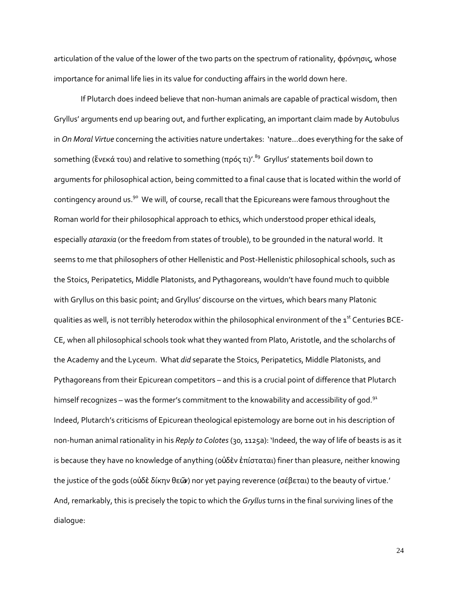articulation of the value of the lower of the two parts on the spectrum of rationality, φρόνησις, whose importance for animal life lies in its value for conducting affairs in the world down here.

If Plutarch does indeed believe that non-human animals are capable of practical wisdom, then Gryllus' arguments end up bearing out, and further explicating, an important claim made by Autobulus in *On Moral Virtue* concerning the activities nature undertakes: 'nature...does everything for the sake of something (ἕνεκά του) and relative to something (πρός τι)'. $^{89}$  Gryllus' statements boil down to arguments for philosophical action, being committed to a final cause that is located within the world of contingency around us.<sup>90</sup> We will, of course, recall that the Epicureans were famous throughout the Roman world for their philosophical approach to ethics, which understood proper ethical ideals, especially *ataraxia* (or the freedom from states of trouble), to be grounded in the natural world. It seems to me that philosophers of other Hellenistic and Post-Hellenistic philosophical schools, such as the Stoics, Peripatetics, Middle Platonists, and Pythagoreans, wouldn't have found much to quibble with Gryllus on this basic point; and Gryllus' discourse on the virtues, which bears many Platonic qualities as well, is not terribly heterodox within the philosophical environment of the 1<sup>st</sup> Centuries BCE-CE, when all philosophical schools took what they wanted from Plato, Aristotle, and the scholarchs of the Academy and the Lyceum. What *did* separate the Stoics, Peripatetics, Middle Platonists, and Pythagoreans from their Epicurean competitors – and this is a crucial point of difference that Plutarch himself recognizes – was the former's commitment to the knowability and accessibility of god. $91$ Indeed, Plutarch's criticisms of Epicurean theological epistemology are borne out in his description of non-human animal rationality in his *Reply to Colotes* (30, 1125a): 'Indeed, the way of life of beasts is as it is because they have no knowledge of anything (οὐδὲν ἐπίσταται) finer than pleasure, neither knowing the justice of the gods (οὐδὲ δίκην θεῶν) nor yet paying reverence (σέβεται) to the beauty of virtue.' And, remarkably, this is precisely the topic to which the *Gryllus* turns in the final surviving lines of the dialogue: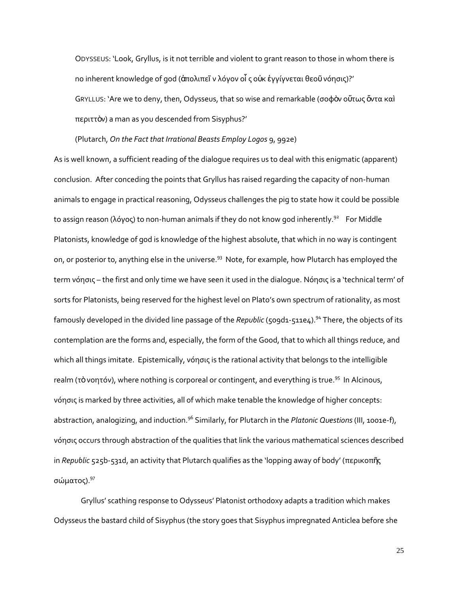ODYSSEUS: 'Look, Gryllus, is it not terrible and violent to grant reason to those in whom there is no inherent knowledge of god (ἀπολιπεῖ ν λόγον οἷ ς οὐκ ἐγγίγνεται θεοῦ νόησις)?' GRYLLUS: 'Are we to deny, then, Odysseus, that so wise and remarkable (σοφὸν οὕτως ὄντα καὶ περιττὸν) a man as you descended from Sisyphus?'

(Plutarch, *On the Fact that Irrational Beasts Employ Logos* 9, 992e)

As is well known, a sufficient reading of the dialogue requires us to deal with this enigmatic (apparent) conclusion. After conceding the points that Gryllus has raised regarding the capacity of non-human animals to engage in practical reasoning, Odysseus challenges the pig to state how it could be possible to assign reason (λόγος) to non-human animals if they do not know god inherently.<sup>92</sup> For Middle Platonists, knowledge of god is knowledge of the highest absolute, that which in no way is contingent on, or posterior to, anything else in the universe.<sup>93</sup> Note, for example, how Plutarch has employed the term νόησις – the first and only time we have seen it used in the dialogue. Νόησις is a 'technical term' of sorts for Platonists, being reserved for the highest level on Plato's own spectrum of rationality, as most famously developed in the divided line passage of the *Republic* (509d1-511e4).<sup>94</sup> There, the objects of its contemplation are the forms and, especially, the form of the Good, that to which all things reduce, and which all things imitate. Epistemically, νόησις is the rational activity that belongs to the intelligible realm (τὸνοητόν), where nothing is corporeal or contingent, and everything is true.<sup>95</sup> In Alcinous, νόησις is marked by three activities, all of which make tenable the knowledge of higher concepts: abstraction, analogizing, and induction.<sup>96</sup> Similarly, for Plutarch in the *Platonic Questions* (III, 1001e-f), νόησις occurs through abstraction of the qualities that link the various mathematical sciences described in *Republic* 525b-531d, an activity that Plutarch qualifies as the 'lopping away of body' (περικοπῆς σώματος).<sup>97</sup>

Gryllus' scathing response to Odysseus' Platonist orthodoxy adapts a tradition which makes Odysseus the bastard child of Sisyphus (the story goes that Sisyphus impregnated Anticlea before she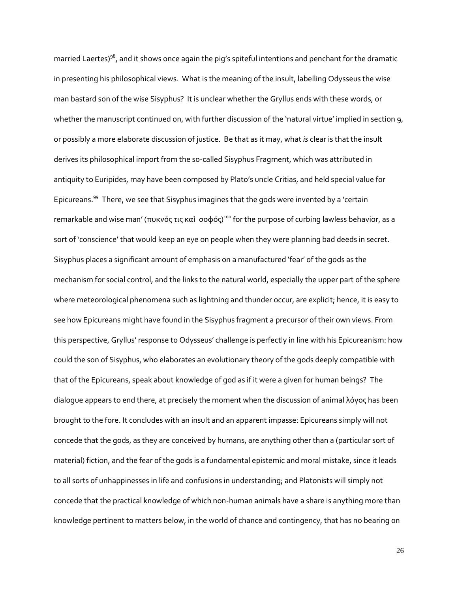married Laertes)<sup>98</sup>, and it shows once again the pig's spiteful intentions and penchant for the dramatic in presenting his philosophical views. What is the meaning of the insult, labelling Odysseus the wise man bastard son of the wise Sisyphus? It is unclear whether the Gryllus ends with these words, or whether the manuscript continued on, with further discussion of the 'natural virtue' implied in section 9, or possibly a more elaborate discussion of justice. Be that as it may, what *is* clear is that the insult derives its philosophical import from the so-called Sisyphus Fragment, which was attributed in antiquity to Euripides, may have been composed by Plato's uncle Critias, and held special value for Epicureans.<sup>99</sup> There, we see that Sisyphus imagines that the gods were invented by a 'certain remarkable and wise man' (πυκνός τις καὶ σοφός)<sup>100</sup> for the purpose of curbing lawless behavior, as a sort of 'conscience' that would keep an eye on people when they were planning bad deeds in secret. Sisyphus places a significant amount of emphasis on a manufactured 'fear' of the gods as the mechanism for social control, and the links to the natural world, especially the upper part of the sphere where meteorological phenomena such as lightning and thunder occur, are explicit; hence, it is easy to see how Epicureans might have found in the Sisyphus fragment a precursor of their own views. From this perspective, Gryllus' response to Odysseus' challenge is perfectly in line with his Epicureanism: how could the son of Sisyphus, who elaborates an evolutionary theory of the gods deeply compatible with that of the Epicureans, speak about knowledge of god as if it were a given for human beings? The dialogue appears to end there, at precisely the moment when the discussion of animal λόγος has been brought to the fore. It concludes with an insult and an apparent impasse: Epicureans simply will not concede that the gods, as they are conceived by humans, are anything other than a (particular sort of material) fiction, and the fear of the gods is a fundamental epistemic and moral mistake, since it leads to all sorts of unhappinesses in life and confusions in understanding; and Platonists will simply not concede that the practical knowledge of which non-human animals have a share is anything more than knowledge pertinent to matters below, in the world of chance and contingency, that has no bearing on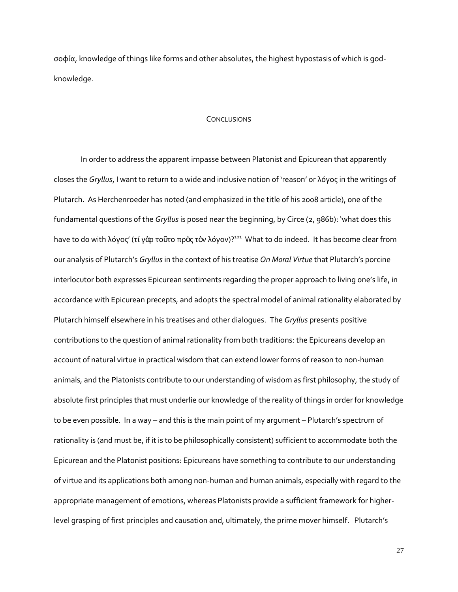σοφία, knowledge of things like forms and other absolutes, the highest hypostasis of which is godknowledge.

### CONCLUSIONS

In order to address the apparent impasse between Platonist and Epicurean that apparently closes the *Gryllus*, I want to return to a wide and inclusive notion of 'reason' or λόγος in the writings of Plutarch. As Herchenroeder has noted (and emphasized in the title of his 2008 article), one of the fundamental questions of the *Gryllus* is posed near the beginning, by Circe (2, 986b): 'what does this have to do with λόγος' (τί γὰρ τοῦτο πρὸς τὸν λόγον)?<sup>101</sup> What to do indeed. It has become clear from our analysis of Plutarch's *Gryllus* in the context of his treatise *On Moral Virtue* that Plutarch's porcine interlocutor both expresses Epicurean sentiments regarding the proper approach to living one's life, in accordance with Epicurean precepts, and adopts the spectral model of animal rationality elaborated by Plutarch himself elsewhere in his treatises and other dialogues. The *Gryllus* presents positive contributions to the question of animal rationality from both traditions: the Epicureans develop an account of natural virtue in practical wisdom that can extend lower forms of reason to non-human animals, and the Platonists contribute to our understanding of wisdom as first philosophy, the study of absolute first principles that must underlie our knowledge of the reality of things in order for knowledge to be even possible. In a way – and this is the main point of my argument – Plutarch's spectrum of rationality is (and must be, if it is to be philosophically consistent) sufficient to accommodate both the Epicurean and the Platonist positions: Epicureans have something to contribute to our understanding of virtue and its applications both among non-human and human animals, especially with regard to the appropriate management of emotions, whereas Platonists provide a sufficient framework for higherlevel grasping of first principles and causation and, ultimately, the prime mover himself. Plutarch's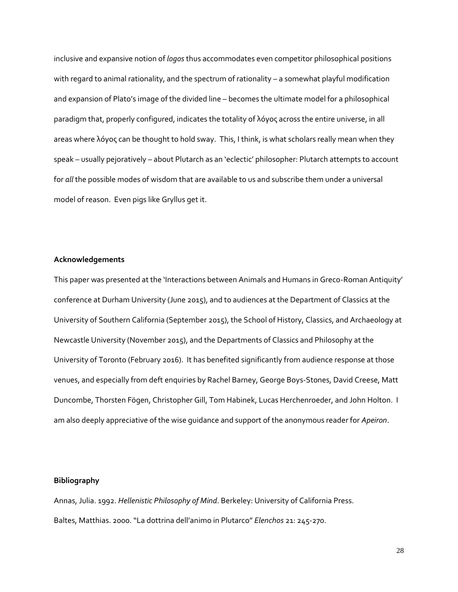inclusive and expansive notion of *logos* thus accommodates even competitor philosophical positions with regard to animal rationality, and the spectrum of rationality – a somewhat playful modification and expansion of Plato's image of the divided line – becomes the ultimate model for a philosophical paradigm that, properly configured, indicates the totality of λόγος across the entire universe, in all areas where λόγος can be thought to hold sway. This, I think, is what scholars really mean when they speak – usually pejoratively – about Plutarch as an 'eclectic' philosopher: Plutarch attempts to account for *all* the possible modes of wisdom that are available to us and subscribe them under a universal model of reason. Even pigs like Gryllus get it.

### **Acknowledgements**

This paper was presented at the 'Interactions between Animals and Humans in Greco-Roman Antiquity' conference at Durham University (June 2015), and to audiences at the Department of Classics at the University of Southern California (September 2015), the School of History, Classics, and Archaeology at Newcastle University (November 2015), and the Departments of Classics and Philosophy at the University of Toronto (February 2016). It has benefited significantly from audience response at those venues, and especially from deft enquiries by Rachel Barney, George Boys-Stones, David Creese, Matt Duncombe, Thorsten Fögen, Christopher Gill, Tom Habinek, Lucas Herchenroeder, and John Holton. I am also deeply appreciative of the wise guidance and support of the anonymous reader for *Apeiron*.

### **Bibliography**

Annas, Julia. 1992. *Hellenistic Philosophy of Mind*. Berkeley: University of California Press. Baltes, Matthias. 2000. "La dottrina dell'animo in Plutarco" *Elenchos* 21: 245-270.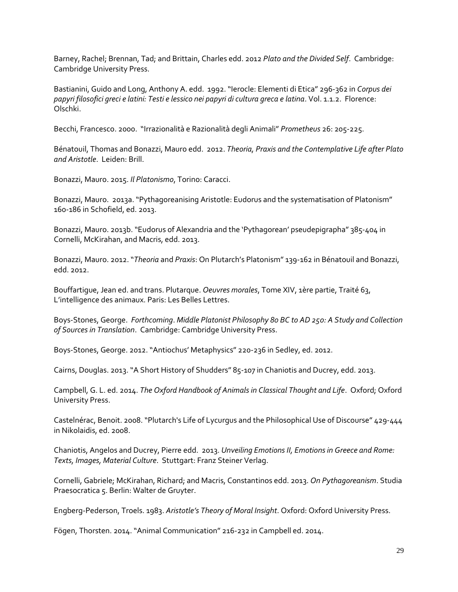Barney, Rachel; Brennan, Tad; and Brittain, Charles edd. 2012 *Plato and the Divided Self*. Cambridge: Cambridge University Press.

Bastianini, Guido and Long, Anthony A. edd. 1992. "Ierocle: Elementi di Etica" 296-362 in *Corpus dei papyri filosofici greci e latini: Testi e lessico nei papyri di cultura greca e latina*. Vol. 1.1.2. Florence: Olschki.

Becchi, Francesco. 2000. "Irrazionalità e Razionalità degli Animali" *Prometheus* 26: 205-225.

Bénatouil, Thomas and Bonazzi, Mauro edd. 2012. *Theoria, Praxis and the Contemplative Life after Plato and Aristotle*. Leiden: Brill.

Bonazzi, Mauro. 2015. *Il Platonismo*, Torino: Caracci.

Bonazzi, Mauro. 2013a."Pythagoreanising Aristotle: Eudorus and the systematisation of Platonism" 160-186 in Schofield, ed. 2013.

Bonazzi, Mauro. 2013b."Eudorus of Alexandria and the 'Pythagorean' pseudepigrapha" 385-404 in Cornelli, McKirahan, and Macris, edd. 2013.

Bonazzi, Mauro. 2012. "*Theoria* and *Praxis*: On Plutarch's Platonism" 139-162 in Bénatouil and Bonazzi, edd. 2012.

Bouffartigue, Jean ed. and trans. Plutarque. *Oeuvres morales*, Tome XIV, 1ère partie, Traité 63, L'intelligence des animaux. Paris: Les Belles Lettres.

Boys-Stones, George. *Forthcoming*. *Middle Platonist Philosophy 80 BC to AD 250: A Study and Collection of Sources in Translation*. Cambridge: Cambridge University Press.

Boys-Stones, George. 2012. "Antiochus' Metaphysics" 220-236 in Sedley, ed. 2012.

Cairns, Douglas. 2013."A Short History of Shudders" 85-107 in Chaniotis and Ducrey, edd. 2013.

Campbell, G. L. ed. 2014. *The Oxford Handbook of Animals in Classical Thought and Life*. Oxford; Oxford University Press.

Castelnérac, Benoit. 2008. "Plutarch's Life of Lycurgus and the Philosophical Use of Discourse" 429-444 in Nikolaidis, ed. 2008.

Chaniotis, Angelos and Ducrey, Pierre edd. 2013. *Unveiling Emotions II, Emotions in Greece and Rome: Texts, Images, Material Culture*. Stuttgart: Franz Steiner Verlag.

Cornelli, Gabriele; McKirahan, Richard; and Macris, Constantinos edd. 2013. *On Pythagoreanism*. Studia Praesocratica 5. Berlin: Walter de Gruyter.

Engberg-Pederson, Troels. 1983. *Aristotle's Theory of Moral Insight*. Oxford: Oxford University Press.

Fögen, Thorsten. 2014. "Animal Communication" 216-232 in Campbell ed. 2014.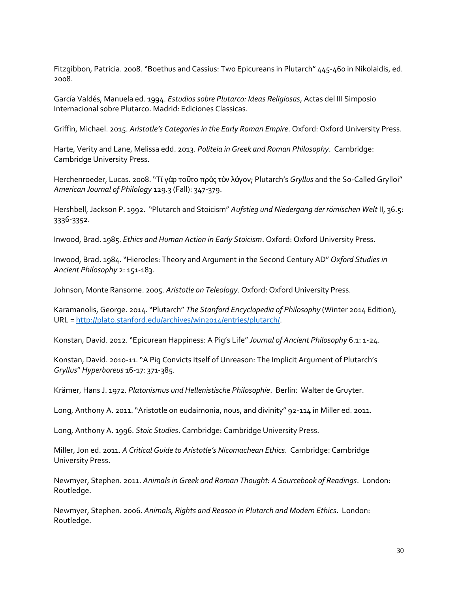Fitzgibbon, Patricia. 2008. "Boethus and Cassius: Two Epicureans in Plutarch" 445-460 in Nikolaidis, ed. 2008.

García Valdés, Manuela ed. 1994. *Estudios sobre Plutarco: Ideas Religiosas*, Actas del III Simposio Internacional sobre Plutarco. Madrid: Ediciones Classicas.

Griffin, Michael. 2015. *Aristotle's Categories in the Early Roman Empire*. Oxford: Oxford University Press.

Harte, Verity and Lane, Melissa edd. 2013. *Politeia in Greek and Roman Philosophy*. Cambridge: Cambridge University Press.

Herchenroeder, Lucas. 2008. "Τί γὰρ τοῦτο πρὸς τὸν λόγον; Plutarch's *Gryllus* and the So-Called Grylloi" *American Journal of Philology* 129.3 (Fall): 347-379.

Hershbell, Jackson P. 1992. "Plutarch and Stoicism" *Aufstieg und Niedergang der römischen Welt* II, 36.5: 3336-3352.

Inwood, Brad. 1985. *Ethics and Human Action in Early Stoicism*. Oxford: Oxford University Press.

Inwood, Brad. 1984. "Hierocles: Theory and Argument in the Second Century AD" *Oxford Studies in Ancient Philosophy* 2: 151-183.

Johnson, Monte Ransome. 2005. *Aristotle on Teleology*. Oxford: Oxford University Press.

Karamanolis, George. 2014. "Plutarch" *The Stanford Encyclopedia of Philosophy* (Winter 2014 Edition), URL [= http://plato.stanford.edu/archives/win2014/entries/plutarch/.](http://plato.stanford.edu/archives/win2014/entries/plutarch/)

Konstan, David. 2012."Epicurean Happiness: A Pig's Life"*Journal of Ancient Philosophy* 6.1: 1-24.

Konstan, David. 2010-11. "A Pig Convicts Itself of Unreason: The Implicit Argument of Plutarch's *Gryllus*" *Hyperboreus* 16-17: 371-385.

Krämer, Hans J. 1972. *Platonismus und Hellenistische Philosophie*. Berlin: Walter de Gruyter.

Long, Anthony A. 2011. "Aristotle on eudaimonia, nous, and divinity" 92-114 in Miller ed. 2011.

Long, Anthony A. 1996. *Stoic Studies*. Cambridge: Cambridge University Press.

Miller, Jon ed. 2011. *A Critical Guide to Aristotle's Nicomachean Ethics*. Cambridge: Cambridge University Press.

Newmyer, Stephen. 2011. *Animals in Greek and Roman Thought: A Sourcebook of Readings*. London: Routledge.

Newmyer, Stephen. 2006. *Animals, Rights and Reason in Plutarch and Modern Ethics*. London: Routledge.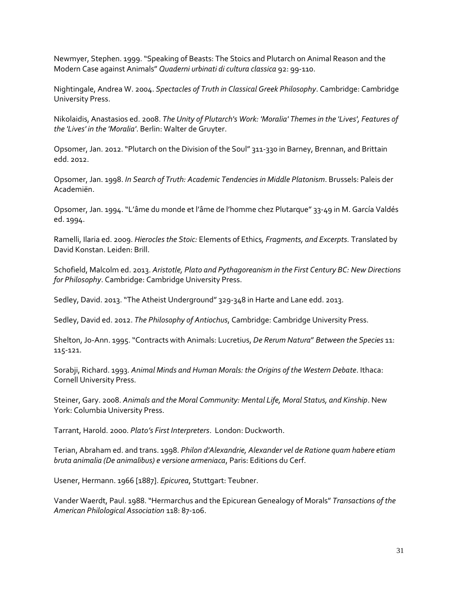Newmyer, Stephen. 1999. "Speaking of Beasts: The Stoics and Plutarch on Animal Reason and the Modern Case against Animals" *Quaderni urbinati di cultura classica* 92: 99-110.

Nightingale, Andrea W. 2004. *Spectacles of Truth in Classical Greek Philosophy*. Cambridge: Cambridge University Press.

Nikolaidis, Anastasios ed. 2008. *The Unity of Plutarch's Work: 'Moralia' Themes in the 'Lives', Features of the 'Lives' in the 'Moralia'*. Berlin: Walter de Gruyter.

Opsomer, Jan. 2012. "Plutarch on the Division of the Soul" 311-330 in Barney, Brennan, and Brittain edd. 2012.

Opsomer, Jan. 1998. *In Search of Truth: Academic Tendencies in Middle Platonism*. Brussels: Paleis der Academiën.

Opsomer, Jan. 1994. "L'âme du monde et l'âme de l'homme chez Plutarque" 33-49 in M. García Valdés ed. 1994.

Ramelli, Ilaria ed. 2009. *Hierocles the Stoic:* Elements of Ethics*, Fragments, and Excerpts.* Translated by David Konstan. Leiden: Brill.

Schofield, Malcolm ed. 2013. *Aristotle, Plato and Pythagoreanism in the First Century BC: New Directions for Philosophy*. Cambridge: Cambridge University Press.

Sedley, David. 2013. "The Atheist Underground" 329-348 in Harte and Lane edd. 2013.

Sedley, David ed. 2012. *The Philosophy of Antiochus*, Cambridge: Cambridge University Press.

Shelton, Jo-Ann. 1995. "Contracts with Animals: Lucretius, *De Rerum Natura*" *Between the Species* 11: 115-121.

Sorabji, Richard. 1993. *Animal Minds and Human Morals: the Origins of the Western Debate*. Ithaca: Cornell University Press.

Steiner, Gary. 2008. *Animals and the Moral Community: Mental Life, Moral Status, and Kinship*. New York: Columbia University Press.

Tarrant, Harold. 2000. *Plato's First Interpreters*. London: Duckworth.

Terian, Abraham ed. and trans. 1998. *Philon d'Alexandrie, Alexander vel de Ratione quam habere etiam bruta animalia (De animalibus) e versione armeniaca*, Paris: Editions du Cerf.

Usener, Hermann. 1966 [1887]. *Epicurea*, Stuttgart: Teubner.

Vander Waerdt, Paul. 1988. "Hermarchus and the Epicurean Genealogy of Morals" *Transactions of the American Philological Association* 118: 87-106.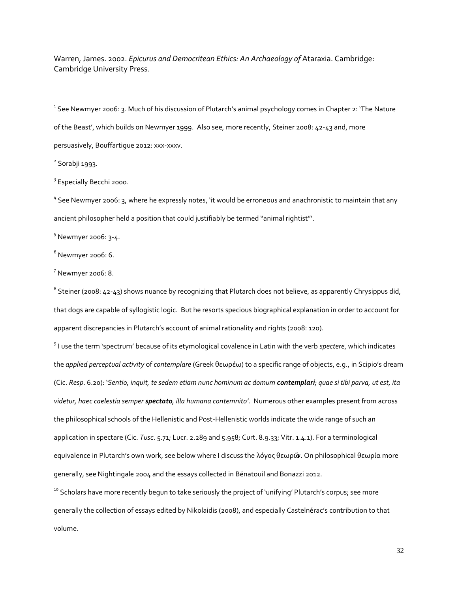Warren, James. 2002. *Epicurus and Democritean Ethics: An Archaeology of* Ataraxia. Cambridge: Cambridge University Press.

 $2$  Sorabji 1993.

 $\overline{a}$ 

<sup>3</sup> Especially Becchi 2000.

<sup>4</sup> See Newmyer 2006: 3, where he expressly notes, 'it would be erroneous and anachronistic to maintain that any ancient philosopher held a position that could justifiably be termed "animal rightist"'.

 $5$  Newmyer 2006: 3-4.

 $6$  Newmyer 2006: 6.

 $<sup>7</sup>$  Newmyer 2006: 8.</sup>

 $^8$  Steiner (2008: 42-43) shows nuance by recognizing that Plutarch does not believe, as apparently Chrysippus did, that dogs are capable of syllogistic logic. But he resorts specious biographical explanation in order to account for apparent discrepancies in Plutarch's account of animal rationality and rights (2008: 120).

9 I use the term 'spectrum' because of its etymological covalence in Latin with the verb *spectere*, which indicates the *applied perceptual activity* of *contemplare* (Greek θεωρέω) to a specific range of objects, e.g., in Scipio's dream (Cic. *Resp*. 6.20): '*Sentio, inquit, te sedem etiam nunc hominum ac domum contemplari; quae si tibi parva, ut est, ita videtur, haec caelestia semper spectato, illa humana contemnito'*. Numerous other examples present from across the philosophical schools of the Hellenistic and Post-Hellenistic worlds indicate the wide range of such an application in spectare (Cic. *Tusc*. 5.71; Lucr. 2.289 and 5.958; Curt. 8.9.33; Vitr. 1.4.1). For a terminological equivalence in Plutarch's own work, see below where I discuss the λόγος θεωρῶν. On philosophical θεωρία more generally, see Nightingale 2004 and the essays collected in Bénatouil and Bonazzi 2012.

<sup>10</sup> Scholars have more recently begun to take seriously the project of 'unifying' Plutarch's corpus; see more generally the collection of essays edited by Nikolaidis (2008), and especially Castelnérac's contribution to that volume.

 $^{\text{\tiny{1}}}$  See Newmyer 2006: 3. Much of his discussion of Plutarch's animal psychology comes in Chapter 2: 'The Nature of the Beast', which builds on Newmyer 1999. Also see, more recently, Steiner 2008: 42-43 and, more persuasively, Bouffartigue 2012: xxx-xxxv.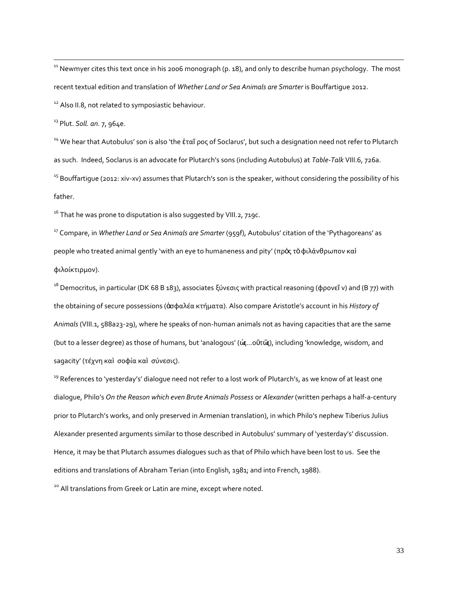<sup>11</sup> Newmyer cites this text once in his 2006 monograph (p. 18), and only to describe human psychology. The most recent textual edition and translation of *Whether Land or Sea Animals are Smarter* is Bouffartigue 2012. <sup>12</sup> Also II.8, not related to symposiastic behaviour.

<sup>13</sup> Plut. *Soll. an.* 7, 964e.

 $\overline{a}$ 

<sup>14</sup> We hear that Autobulus' son is also 'the επαῖ ρος of Soclarus', but such a designation need not refer to Plutarch as such. Indeed, Soclarus is an advocate for Plutarch's sons (including Autobulus) at *Table-Talk* VIII.6, 726a. <sup>15</sup> Bouffartigue (2012: xiv-xv) assumes that Plutarch's son is the speaker, without considering the possibility of his father.

 $16$  That he was prone to disputation is also suggested by VIII.2, 719C.

<sup>17</sup> Compare, in *Whether Land or Sea Animals are Smarter* (959f), Autobulus' citation of the 'Pythagoreans' as people who treated animal gently 'with an eye to humaneness and pity' (πρὸς τὸφιλάνθρωπον καὶ φιλοίκτιρμον).

<sup>18</sup> Democritus, in particular (DK 68 B 183), associates ξύνεσις with practical reasoning (φρονεῖ ν) and (B 77) with the obtaining of secure possessions (ἀσφαλέα κτήματα). Also compare Aristotle's account in his *History of Animals* (VIII.1, 588a23-29), where he speaks of non-human animals not as having capacities that are the same (but to a lesser degree) as those of humans, but 'analogous' (ὡς...οῦτῶς), including 'knowledge, wisdom, and sagacity' (τέχνη καὶ σοφία καὶ σύνεσις).

<sup>19</sup> References to 'yesterday's' dialoque need not refer to a lost work of Plutarch's, as we know of at least one dialogue, Philo's *On the Reason which even Brute Animals Possess* or *Alexander* (written perhaps a half-a-century prior to Plutarch's works, and only preserved in Armenian translation), in which Philo's nephew Tiberius Julius Alexander presented arguments similar to those described in Autobulus' summary of 'yesterday's' discussion. Hence, it may be that Plutarch assumes dialogues such as that of Philo which have been lost to us. See the editions and translations of Abraham Terian (into English, 1981; and into French, 1988).

<sup>20</sup> All translations from Greek or Latin are mine, except where noted.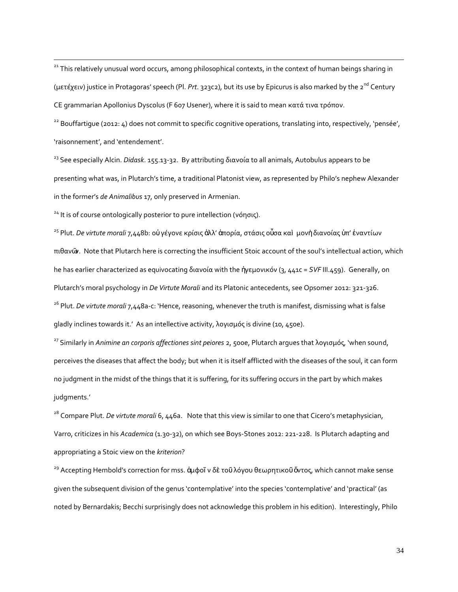<sup>21</sup> This relatively unusual word occurs, among philosophical contexts, in the context of human beings sharing in (μετέχειν) justice in Protagoras' speech (Pl. *Prt*. 323c2), but its use by Epicurus is also marked by the 2nd Century CE grammarian Apollonius Dyscolus (F 607 Usener), where it is said to mean κατά τινα τρόπον.

<sup>22</sup> Bouffartigue (2012: 4) does not commit to specific cognitive operations, translating into, respectively, 'pensée', 'raisonnement', and 'entendement'.

<sup>23</sup> See especially Alcin. *Didask*. 155.13-32. By attributing διανοία to all animals, Autobulus appears to be presenting what was, in Plutarch's time, a traditional Platonist view, as represented by Philo's nephew Alexander in the former's *de Animalibus* 17, only preserved in Armenian.

<sup>24</sup> It is of course ontologically posterior to pure intellection (νόησις).

 $\overline{a}$ 

<sup>25</sup> Plut. *De virtute morali* 7,448b: οὐγέγονε κρίσις ἀλλ' ἀπορία, στάσις οὖσα καὶ μονὴδιανοίας ὑπ' ἐναντίων πιθανῶν. Note that Plutarch here is correcting the insufficient Stoic account of the soul's intellectual action, which he has earlier characterized as equivocating διανοία with the ἡγεμονικόν (3, 441c = *SVF* III.459). Generally, on Plutarch's moral psychology in *De Virtute Morali* and its Platonic antecedents, see Opsomer 2012: 321-326. <sup>26</sup> Plut. *De virtute morali* 7,448a-c: 'Hence, reasoning, whenever the truth is manifest, dismissing what is false gladly inclines towards it.' As an intellective activity, λογισμός is divine (10, 450e).

<sup>27</sup> Similarly in *Animine an corporis affectiones sint peiores* 2, 500e, Plutarch argues that λογισμός, 'when sound, perceives the diseases that affect the body; but when it is itself afflicted with the diseases of the soul, it can form no judgment in the midst of the things that it is suffering, for its suffering occurs in the part by which makes judgments.'

<sup>28</sup> Compare Plut. *De virtute morali* 6, 446a. Note that this view is similar to one that Cicero's metaphysician, Varro, criticizes in his *Academica* (1.30-32), on which see Boys-Stones 2012: 221-228. Is Plutarch adapting and appropriating a Stoic view on the *kriterion*?

<sup>29</sup> Accepting Hembold's correction for mss. ἀμφοῖ ν δὲ τοῦ λόγου θεωρητικοῦ ὄντος, which cannot make sense given the subsequent division of the genus 'contemplative' into the species 'contemplative' and 'practical' (as noted by Bernardakis; Becchi surprisingly does not acknowledge this problem in his edition). Interestingly, Philo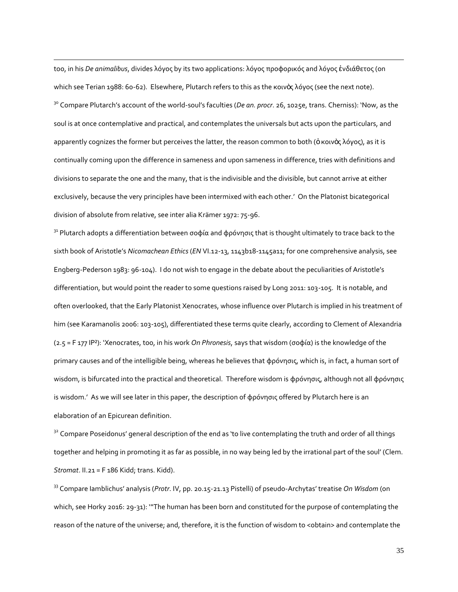too, in his *De animalibus*, divides λόγος by its two applications: λόγος προφορικός and λόγος ἐνδιάθετος (on which see Terian 1988: 60-62). Elsewhere, Plutarch refers to this as the κοινὸς λόγος (see the next note). <sup>30</sup> Compare Plutarch's account of the world-soul's faculties (*De an. procr.* 26, 1025e, trans. Cherniss): 'Now, as the soul is at once contemplative and practical, and contemplates the universals but acts upon the particulars, and apparently cognizes the former but perceives the latter, the reason common to both (ὁ κοινὸς λόγος), as it is continually coming upon the difference in sameness and upon sameness in difference, tries with definitions and divisions to separate the one and the many, that is the indivisible and the divisible, but cannot arrive at either exclusively, because the very principles have been intermixed with each other.' On the Platonist bicategorical division of absolute from relative, see inter alia Krämer 1972: 75-96.

 $\overline{a}$ 

<sup>31</sup> Plutarch adopts a differentiation between σοφία and φρόνησις that is thought ultimately to trace back to the sixth book of Aristotle's *Nicomachean Ethics* (*EN* VI.12-13, 1143b18-1145a11; for one comprehensive analysis, see Engberg-Pederson 1983: 96-104). I do not wish to engage in the debate about the peculiarities of Aristotle's differentiation, but would point the reader to some questions raised by Long 2011: 103-105. It is notable, and often overlooked, that the Early Platonist Xenocrates, whose influence over Plutarch is implied in his treatment of him (see Karamanolis 2006: 103-105), differentiated these terms quite clearly, according to Clement of Alexandria (2.5 = F 177 IP²): 'Xenocrates, too, in his work *On Phronesis*, says that wisdom (σοφία) is the knowledge of the primary causes and of the intelligible being, whereas he believes that φρόνησις, which is, in fact, a human sort of wisdom, is bifurcated into the practical and theoretical. Therefore wisdom is φρόνησις, although not all φρόνησις is wisdom.' As we will see later in this paper, the description of φρόνησις offered by Plutarch here is an elaboration of an Epicurean definition.

 $32$  Compare Poseidonus' general description of the end as 'to live contemplating the truth and order of all things together and helping in promoting it as far as possible, in no way being led by the irrational part of the soul' (Clem. *Stromat*. II.21 = F 186 Kidd; trans. Kidd).

<sup>33</sup> Compare Iamblichus' analysis (*Protr*. IV, pp. 20.15-21.13 Pistelli) of pseudo-Archytas' treatise *On Wisdom* (on which, see Horky 2016: 29-31): '"The human has been born and constituted for the purpose of contemplating the reason of the nature of the universe; and, therefore, it is the function of wisdom to <obtain> and contemplate the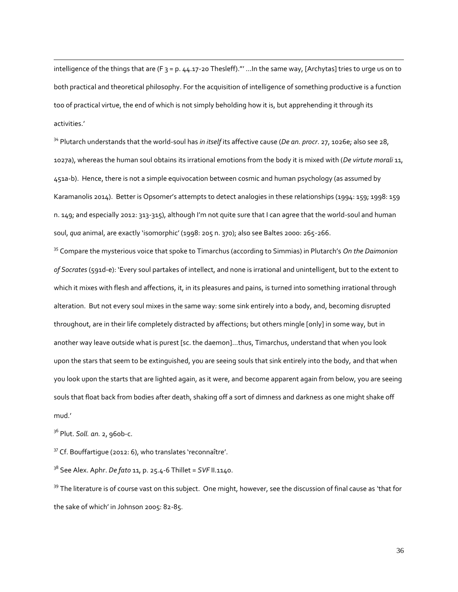intelligence of the things that are (F  $_3$  = p. 44.17-20 Thesleff)."' ... In the same way, [Archytas] tries to urge us on to both practical and theoretical philosophy. For the acquisition of intelligence of something productive is a function too of practical virtue, the end of which is not simply beholding how it is, but apprehending it through its activities.'

<sup>34</sup> Plutarch understands that the world-soul has *in itself* its affective cause (*De an. procr*. 27, 1026e; also see 28, 1027a), whereas the human soul obtains its irrational emotions from the body it is mixed with (*De virtute morali* 11, 451a-b). Hence, there is not a simple equivocation between cosmic and human psychology (as assumed by Karamanolis 2014). Better is Opsomer's attempts to detect analogies in these relationships (1994: 159; 1998: 159 n. 149; and especially 2012: 313-315), although I'm not quite sure that I can agree that the world-soul and human soul, *qua* animal, are exactly 'isomorphic' (1998: 205 n. 370); also see Baltes 2000: 265-266.

<sup>35</sup> Compare the mysterious voice that spoke to Timarchus (according to Simmias) in Plutarch's *On the Daimonion of Socrates* (591d-e): 'Every soul partakes of intellect, and none is irrational and unintelligent, but to the extent to which it mixes with flesh and affections, it, in its pleasures and pains, is turned into something irrational through alteration. But not every soul mixes in the same way: some sink entirely into a body, and, becoming disrupted throughout, are in their life completely distracted by affections; but others mingle [only] in some way, but in another way leave outside what is purest [sc. the daemon]…thus, Timarchus, understand that when you look upon the stars that seem to be extinguished, you are seeing souls that sink entirely into the body, and that when you look upon the starts that are lighted again, as it were, and become apparent again from below, you are seeing souls that float back from bodies after death, shaking off a sort of dimness and darkness as one might shake off mud.'

<sup>36</sup> Plut. *Soll. an.* 2, 960b-c.

 $\overline{a}$ 

<sup>37</sup> Cf. Bouffartique (2012: 6), who translates 'reconnaître'.

<sup>38</sup> See Alex. Aphr. *De fato* 11, p. 25.4-6 Thillet = *SVF* II.1140.

<sup>39</sup> The literature is of course vast on this subject. One might, however, see the discussion of final cause as 'that for the sake of which' in Johnson 2005: 82-85.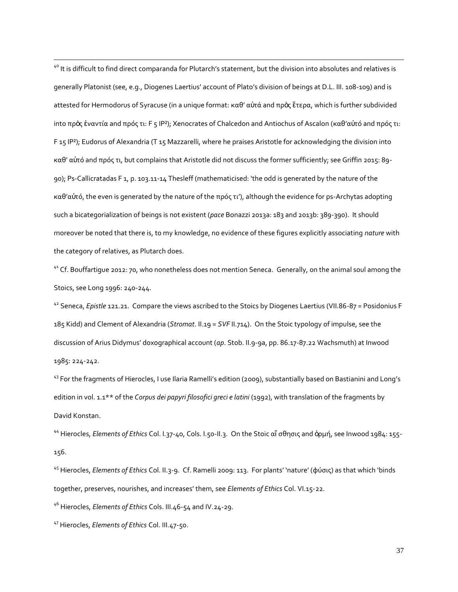<sup>40</sup> It is difficult to find direct comparanda for Plutarch's statement, but the division into absolutes and relatives is generally Platonist (see, e.g., Diogenes Laertius' account of Plato's division of beings at D.L. III. 108-109) and is attested for Hermodorus of Syracuse (in a unique format: καθ' αὑτά and πρὸς ἕτερα, which is further subdivided into πρὸς ἐναντία and πρός τι: F 5 IP<sup>2</sup>); Xenocrates of Chalcedon and Antiochus of Ascalon (καθ'αὐτό and πρός τι: F 15 IP²); Eudorus of Alexandria (T 15 Mazzarelli, where he praises Aristotle for acknowledging the division into καθ' αὐτό and πρός τι, but complains that Aristotle did not discuss the former sufficiently; see Griffin 2015: 89- 90); Ps-Callicratadas F 1, p. 103.11-14 Thesleff (mathematicised: 'the odd is generated by the nature of the καθ'αὐτό, the even is generated by the nature of the πρός τι'), although the evidence for ps-Archytas adopting such a bicategorialization of beings is not existent (*pace* Bonazzi 2013a: 183 and 2013b: 389-390). It should moreover be noted that there is, to my knowledge, no evidence of these figures explicitly associating *nature* with the category of relatives, as Plutarch does.

<sup>41</sup> Cf. Bouffartique 2012: 70, who nonetheless does not mention Seneca. Generally, on the animal soul among the Stoics, see Long 1996: 240-244.

<sup>42</sup> Seneca, *Epistle* 121.21. Compare the views ascribed to the Stoics by Diogenes Laertius (VII.86-87 = Posidonius F 185 Kidd) and Clement of Alexandria (*Stromat*. II.19 = *SVF* II.714). On the Stoic typology of impulse, see the discussion of Arius Didymus' doxographical account (*ap*. Stob. II.9-9a, pp. 86.17-87.22 Wachsmuth) at Inwood 1985: 224-242.

<sup>43</sup> For the fragments of Hierocles, I use Ilaria Ramelli's edition (2009), substantially based on Bastianini and Long's edition in vol. 1.1<sup>\*\*</sup> of the *Corpus dei papyri filosofici greci e latini* (1992), with translation of the fragments by David Konstan.

<sup>44</sup> Hierocles, *Elements of Ethics* Col. I.37-40, Cols. I.50-II.3. On the Stoic αἴ σθησις and ὁρμή, see Inwood 1984: 155- 156.

<sup>45</sup> Hierocles, *Elements of Ethics* Col. II.3-9. Cf. Ramelli 2009: 113. For plants' 'nature' (φύσις) as that which 'binds together, preserves, nourishes, and increases' them, see *Elements of Ethics* Col. VI.15-22.

<sup>46</sup> Hierocles, *Elements of Ethics* Cols. III.46-54 and IV.24-29.

<sup>47</sup> Hierocles, *Elements of Ethics* Col. III.47-50.

 $\overline{a}$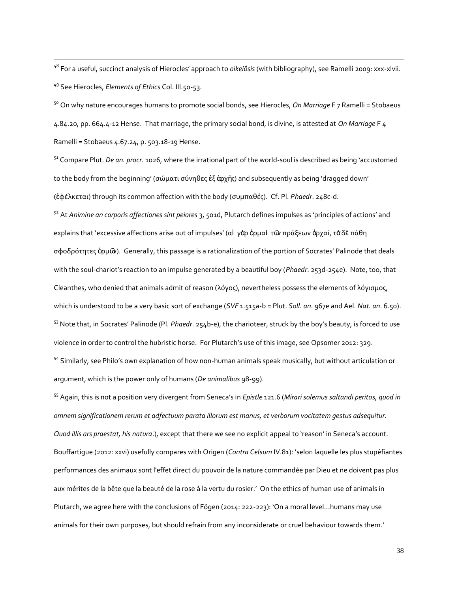<sup>48</sup> For a useful, succinct analysis of Hierocles' approach to *oikeiôsis* (with bibliography), see Ramelli 2009: xxx-xlvii. <sup>49</sup> See Hierocles, *Elements of Ethics* Col. III.50-53.

 $\overline{a}$ 

<sup>50</sup> On why nature encourages humans to promote social bonds, see Hierocles, *On Marriage* F 7 Ramelli = Stobaeus 4.84.20, pp. 664.4-12 Hense. That marriage, the primary social bond, is divine, is attested at *On Marriage* F 4 Ramelli = Stobaeus 4.67.24, p. 503.18-19 Hense.

<sup>51</sup> Compare Plut. *De an. procr*. 1026, where the irrational part of the world-soul is described as being 'accustomed to the body from the beginning' (σώματι σύνηθες ἐξ ἀρχῆς) and subsequently as being 'dragged down' (ἐφέλκεται) through its common affection with the body (συμπαθές). Cf. Pl. *Phaedr*. 248c-d.

<sup>52</sup> At *Animine an corporis affectiones sint peiores* 3, 501d, Plutarch defines impulses as 'principles of actions' and explains that 'excessive affections arise out of impulses' (αἱ γὰρ ὁρμαὶ τῶν πράξεων ἀρχαί, τὰδὲ πάθη σφοδρότητες ὁρμῶν). Generally, this passage is a rationalization of the portion of Socrates' Palinode that deals with the soul-chariot's reaction to an impulse generated by a beautiful boy (*Phaedr*. 253d-254e). Note, too, that Cleanthes, who denied that animals admit of reason (λόγος), nevertheless possess the elements of λόγισμος, which is understood to be a very basic sort of exchange (*SVF* 1.515a-b = Plut. *Soll. an*. 967e and Ael. *Nat. an*. 6.50). <sup>53</sup> Note that, in Socrates' Palinode (Pl. *Phaedr*. 254b-e), the charioteer, struck by the boy's beauty, is forced to use violence in order to control the hubristic horse. For Plutarch's use of this image, see Opsomer 2012: 329. <sup>54</sup> Similarly, see Philo's own explanation of how non-human animals speak musically, but without articulation or argument, which is the power only of humans (*De animalibus* 98-99).

<sup>55</sup> Again, this is not a position very divergent from Seneca's in *Epistle* 121.6 (*Mirari solemus saltandi peritos, quod in omnem significationem rerum et adfectuum parata illorum est manus, et verborum vocitatem gestus adsequitur. Quod illis ars praestat, his natura*.), except that there we see no explicit appeal to 'reason' in Seneca's account. Bouffartigue (2012: xxvi) usefully compares with Origen (*Contra Celsum* IV.81): 'selon laquelle les plus stupéfiantes performances des animaux sont l'effet direct du pouvoir de la nature commandée par Dieu et ne doivent pas plus aux mérites de la bête que la beauté de la rose à la vertu du rosier.' On the ethics of human use of animals in Plutarch, we agree here with the conclusions of Fögen (2014: 222-223): 'On a moral level…humans may use animals for their own purposes, but should refrain from any inconsiderate or cruel behaviour towards them.'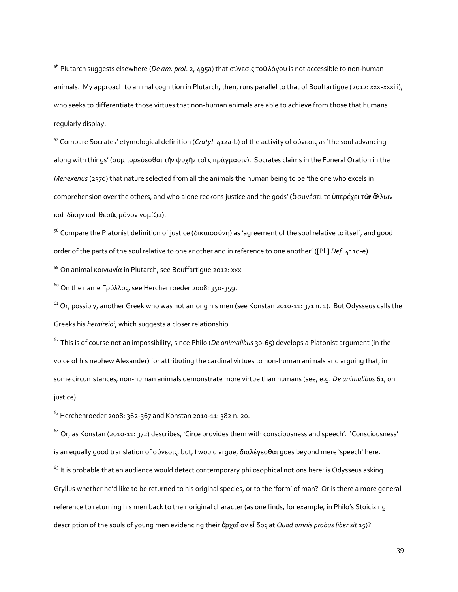<sup>56</sup> Plutarch suggests elsewhere (*De am. prol.* 2, 495a) that σύνεσις το <u>ΰλόγου</u> is not accessible to non-human animals. My approach to animal cognition in Plutarch, then, runs parallel to that of Bouffartigue (2012: xxx-xxxiii), who seeks to differentiate those virtues that non-human animals are able to achieve from those that humans regularly display.

<sup>57</sup> Compare Socrates' etymological definition (*Cratyl*. 412a-b) of the activity of σύνεσις as 'the soul advancing along with things' (συμπορεύεσθαι τὴν ψυχὴν τοῖ ς πράγμασιν). Socrates claims in the Funeral Oration in the *Menexenus* (237d) that nature selected from all the animals the human being to be 'the one who excels in comprehension over the others, and who alone reckons justice and the gods' (ὃσυνέσει τε ὑπερέχει τῶν ἄλλων καὶ δίκην καὶ θεοὺς μόνον νομίζει).

<sup>58</sup> Compare the Platonist definition of justice (δικαιοσύνη) as 'agreement of the soul relative to itself, and good order of the parts of the soul relative to one another and in reference to one another' ([Pl.] *Def*. 411d-e).

 $59$  On animal κοινωνία in Plutarch, see Bouffartique 2012: xxxi.

<sup>60</sup> On the name Γρύλλος, see Herchenroeder 2008: 350-359.

 $\overline{a}$ 

 $^{61}$  Or, possibly, another Greek who was not among his men (see Konstan 2010-11: 371 n. 1). But Odysseus calls the Greeks his *hetaireioi*, which suggests a closer relationship.

<sup>62</sup> This is of course not an impossibility, since Philo (*De animalibus* 30-65) develops a Platonist argument (in the voice of his nephew Alexander) for attributing the cardinal virtues to non-human animals and arguing that, in some circumstances, non-human animals demonstrate more virtue than humans (see, e.g. *De animalibus* 61, on justice).

<sup>63</sup> Herchenroeder 2008: 362-367 and Konstan 2010-11: 382 n. 20.

 $64$  Or, as Konstan (2010-11: 372) describes, 'Circe provides them with consciousness and speech'. 'Consciousness' is an equally good translation of σύνεσις, but, I would argue, διαλέγεσθαι goes beyond mere 'speech' here.  $65$  It is probable that an audience would detect contemporary philosophical notions here: is Odysseus asking Gryllus whether he'd like to be returned to his original species, or to the 'form' of man? Or is there a more general reference to returning his men back to their original character (as one finds, for example, in Philo's Stoicizing description of the souls of young men evidencing their ἀρχαῖ ον εἶ δος at *Quod omnis probus liber sit* 15)?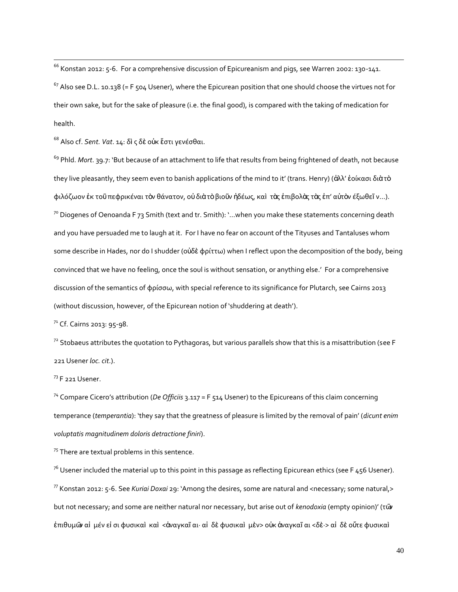<sup>66</sup> Konstan 2012: 5-6. For a comprehensive discussion of Epicureanism and pigs, see Warren 2002: 130-141.

 $67$  Also see D.L. 10.138 (= F 504 Usener), where the Epicurean position that one should choose the virtues not for their own sake, but for the sake of pleasure (i.e. the final good), is compared with the taking of medication for health.

<sup>68</sup> Also cf. *Sent. Vat*. 14: δὶ ς δὲ οὐκ ἔστι γενέσθαι.

<sup>69</sup> Phld. *Mort*. 39.7: 'But because of an attachment to life that results from being frightened of death, not because they live pleasantly, they seem even to banish applications of the mind to it' (trans. Henry) (ἀλλ' ἐοίκασι διὰτὸ φιλόζωον ἐκ τοῦπεφρικέναι τὸν θάνατον, οὐδιὰτὸβιοῦν ἡδέως, καὶ τὰς ἐπιβολὰς τὰς ἐπ' αὐτὸν έξωθεῖ ν...).  $70$  Diogenes of Oenoanda F 73 Smith (text and tr. Smith): '...when you make these statements concerning death and you have persuaded me to laugh at it. For I have no fear on account of the Tityuses and Tantaluses whom some describe in Hades, nor do I shudder (οὐδὲ φρίττω) when I reflect upon the decomposition of the body, being convinced that we have no feeling, once the soul is without sensation, or anything else.' For a comprehensive discussion of the semantics of φρίσσω, with special reference to its significance for Plutarch, see Cairns 2013 (without discussion, however, of the Epicurean notion of 'shuddering at death').

7<sup>1</sup> Cf. Cairns 2013: 95-98.

 $^{72}$  Stobaeus attributes the quotation to Pythagoras, but various parallels show that this is a misattribution (see F 221 Usener *loc. cit*.).

<sup>73</sup> F 221 Usener.

 $\overline{a}$ 

<sup>74</sup> Compare Cicero's attribution (*De Officiis* 3.117 = F 514 Usener) to the Epicureans of this claim concerning temperance (*temperantia*): 'they say that the greatness of pleasure is limited by the removal of pain' (*dicunt enim voluptatis magnitudinem doloris detractione finiri*).

 $75$  There are textual problems in this sentence.

 $^{76}$  Usener included the material up to this point in this passage as reflecting Epicurean ethics (see F 456 Usener).  $^{77}$  Konstan 2012: 5-6. See *Kuriai Doxai* 29: 'Among the desires, some are natural and <necessary; some natural,> but not necessary; and some are neither natural nor necessary, but arise out of *kenodoxia* (empty opinion)' (τῶν ἐπιθυμῶν αἱ μέν εἰ σι φυσικαὶ καὶ <ἀναγκαῖ αι· αἱ δὲ φυσικαὶ μὲν> οὐκ ἀναγκαῖ αι <δὲ·> αἱ δὲ οὔτε φυσικαὶ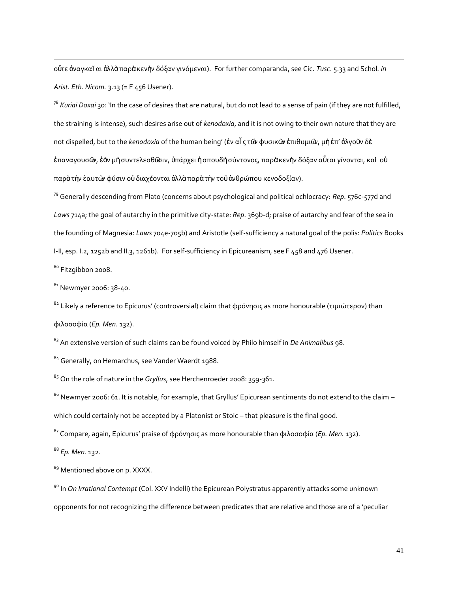οὔτε ἀναγκαῖ αι ἀλλὰ παρὰ κενὴν δόξαν γινόμεναι). For further comparanda, see Cic. *Tusc*. 5.33 and Schol*. in Arist. Eth. Nicom.* 3.13 (= F 456 Usener).

<sup>78</sup> *Kuriai Doxai* 30: 'In the case of desires that are natural, but do not lead to a sense of pain (if they are not fulfilled, the straining is intense), such desires arise out of *kenodoxia*, and it is not owing to their own nature that they are not dispelled, but to the *kenodoxia* of the human being' (ἐν αἷ ς τῶν φυσικῶν ἐπιθυμιῶν, μὴἐπ' ἀλγοῦν δὲ ἐπαναγουσῶν, ἐὰν μὴ συντελεσθῶσιν, ὑπάρχει ἡ σπουδὴ σύντονος, παρὰ κενὴν δόξαν αὖται γίνονται, καὶ οὐ παρὰ τὴν ἑαυτῶν φύσιν οὐ διαχέονται ἀλλὰ παρὰ τὴν τοῦἀνθρώπου κενοδοξίαν).

<sup>79</sup> Generally descending from Plato (concerns about psychological and political ochlocracy: *Rep*. 576c-577d and *Laws* 714a; the goal of autarchy in the primitive city-state: *Rep*. 369b-d; praise of autarchy and fear of the sea in the founding of Magnesia: *Laws* 704e-705b) and Aristotle (self-sufficiency a natural goal of the polis: *Politics* Books I-II, esp. I.2, 1252b and II.3, 1261b). For self-sufficiency in Epicureanism, see F 458 and 476 Usener.

80 Fitzgibbon 2008.

 $\overline{a}$ 

81 Newmyer 2006: 38-40.

<sup>82</sup> Likely a reference to Epicurus' (controversial) claim that φρόνησις as more honourable (τιμιώτερον) than φιλοσοφία (*Ep. Men.* 132).

<sup>83</sup> An extensive version of such claims can be found voiced by Philo himself in *De Animalibus* 98.

<sup>84</sup> Generally, on Hemarchus, see Vander Waerdt 1988.

<sup>85</sup> On the role of nature in the *Gryllus*, see Herchenroeder 2008: 359-361.

<sup>86</sup> Newmyer 2006: 61. It is notable, for example, that Gryllus' Epicurean sentiments do not extend to the claim – which could certainly not be accepted by a Platonist or Stoic – that pleasure is the final good.

<sup>87</sup> Compare, again, Epicurus' praise of φρόνησις as more honourable than φιλοσοφία (*Ep. Men.* 132).

<sup>88</sup> *Ep. Men*. 132.

<sup>89</sup> Mentioned above on p. XXXX.

<sup>90</sup> In *On Irrational Contempt* (Col. XXV Indelli) the Epicurean Polystratus apparently attacks some unknown opponents for not recognizing the difference between predicates that are relative and those are of a 'peculiar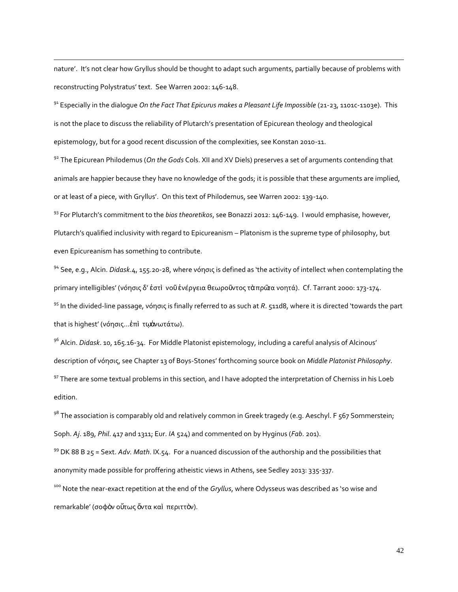nature'. It's not clear how Gryllus should be thought to adapt such arguments, partially because of problems with reconstructing Polystratus' text. See Warren 2002: 146-148.

 $\overline{a}$ 

<sup>91</sup> Especially in the dialogue *On the Fact That Epicurus makes a Pleasant Life Impossible* (21-23, 1101c-1103e). This is not the place to discuss the reliability of Plutarch's presentation of Epicurean theology and theological epistemology, but for a good recent discussion of the complexities, see Konstan 2010-11.

<sup>92</sup> The Epicurean Philodemus (*On the Gods* Cols. XII and XV Diels) preserves a set of arguments contending that animals are happier because they have no knowledge of the gods; it is possible that these arguments are implied, or at least of a piece, with Gryllus'. On this text of Philodemus, see Warren 2002: 139-140.

<sup>93</sup> For Plutarch's commitment to the *bios theoretikos*, see Bonazzi 2012: 146-149. I would emphasise, however, Plutarch's qualified inclusivity with regard to Epicureanism – Platonism is the supreme type of philosophy, but even Epicureanism has something to contribute.

<sup>94</sup> See, e.g., Alcin. *Didask*.4, 155.20-28, where νόησις is defined as 'the activity of intellect when contemplating the primary intelligibles' (νόησις δ' ἐστὶ νοῦἐνέργεια θεωροῦντος τὰπρῶτα νοητά). Cf. Tarrant 2000: 173-174. <sup>95</sup> In the divided-line passage, νόησις is finally referred to as such at *R*. 511d8, where it is directed 'towards the part that is highest' (νόησις...ἐπὶ τῳἀνωτάτω).

<sup>96</sup> Alcin. *Didask*. 10, 165.16-34. For Middle Platonist epistemology, including a careful analysis of Alcinous' description of νόησις, see Chapter 13 of Boys-Stones' forthcoming source book on *Middle Platonist Philosophy*. <sup>97</sup> There are some textual problems in this section, and I have adopted the interpretation of Cherniss in his Loeb edition.

98 The association is comparably old and relatively common in Greek tragedy (e.g. Aeschyl. F 567 Sommerstein; Soph. *Aj*. 189, *Phil*. 417 and 1311; Eur. *IA* 524) and commented on by Hyginus (*Fab*. 201).

<sup>99</sup> DK 88 B 25 = Sext. *Adv. Math*. IX.54. For a nuanced discussion of the authorship and the possibilities that anonymity made possible for proffering atheistic views in Athens, see Sedley 2013: 335-337.

<sup>100</sup> Note the near-exact repetition at the end of the *Gryllus*, where Odysseus was described as 'so wise and remarkable' (σοφὸν οὕτως ὄντα καὶ περιττὸν).